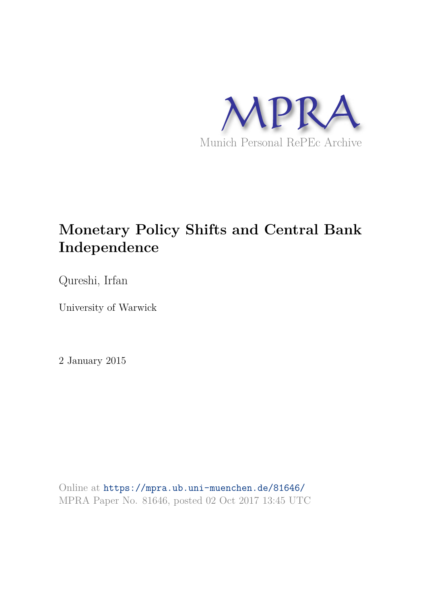

# **Monetary Policy Shifts and Central Bank Independence**

Qureshi, Irfan

University of Warwick

2 January 2015

Online at https://mpra.ub.uni-muenchen.de/81646/ MPRA Paper No. 81646, posted 02 Oct 2017 13:45 UTC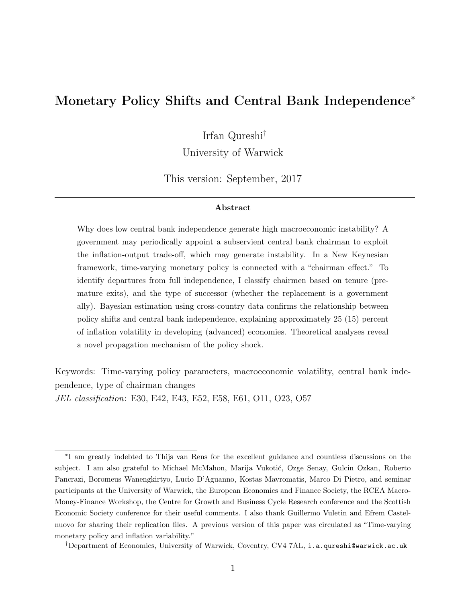# Monetary Policy Shifts and Central Bank Independence<sup>∗</sup>

Irfan Qureshi†

University of Warwick

This version: September, 2017

#### Abstract

Why does low central bank independence generate high macroeconomic instability? A government may periodically appoint a subservient central bank chairman to exploit the inflation-output trade-off, which may generate instability. In a New Keynesian framework, time-varying monetary policy is connected with a "chairman effect." To identify departures from full independence, I classify chairmen based on tenure (premature exits), and the type of successor (whether the replacement is a government ally). Bayesian estimation using cross-country data confirms the relationship between policy shifts and central bank independence, explaining approximately 25 (15) percent of inflation volatility in developing (advanced) economies. Theoretical analyses reveal a novel propagation mechanism of the policy shock.

Keywords: Time-varying policy parameters, macroeconomic volatility, central bank independence, type of chairman changes JEL classification: E30, E42, E43, E52, E58, E61, O11, O23, O57

<sup>∗</sup> I am greatly indebted to Thijs van Rens for the excellent guidance and countless discussions on the subject. I am also grateful to Michael McMahon, Marija Vukotić, Ozge Senay, Gulcin Ozkan, Roberto Pancrazi, Boromeus Wanengkirtyo, Lucio D'Aguanno, Kostas Mavromatis, Marco Di Pietro, and seminar participants at the University of Warwick, the European Economics and Finance Society, the RCEA Macro-Money-Finance Workshop, the Centre for Growth and Business Cycle Research conference and the Scottish Economic Society conference for their useful comments. I also thank Guillermo Vuletin and Efrem Castelnuovo for sharing their replication files. A previous version of this paper was circulated as "Time-varying monetary policy and inflation variability."

<sup>†</sup>Department of Economics, University of Warwick, Coventry, CV4 7AL, i.a.qureshi@warwick.ac.uk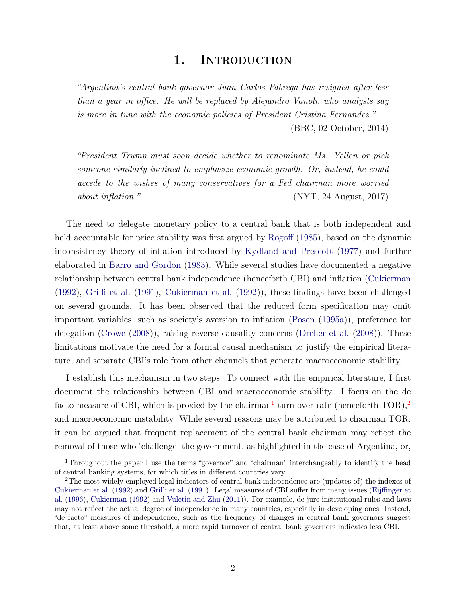# 1. INTRODUCTION

"Argentina's central bank governor Juan Carlos Fabrega has resigned after less than a year in office. He will be replaced by Alejandro Vanoli, who analysts say is more in tune with the economic policies of President Cristina Fernandez." (BBC, 02 October, 2014)

"President Trump must soon decide whether to renominate Ms. Yellen or pick someone similarly inclined to emphasize economic growth. Or, instead, he could accede to the wishes of many conservatives for a Fed chairman more worried about inflation." (NYT, 24 August, 2017)

The need to delegate monetary policy to a central bank that is both independent and held accountable for price stability was first argued by Rogoff (1985), based on the dynamic inconsistency theory of inflation introduced by Kydland and Prescott (1977) and further elaborated in Barro and Gordon (1983). While several studies have documented a negative relationship between central bank independence (henceforth CBI) and inflation (Cukierman (1992), Grilli et al. (1991), Cukierman et al. (1992)), these findings have been challenged on several grounds. It has been observed that the reduced form specification may omit important variables, such as society's aversion to inflation (Posen (1995a)), preference for delegation (Crowe (2008)), raising reverse causality concerns (Dreher et al. (2008)). These limitations motivate the need for a formal causal mechanism to justify the empirical literature, and separate CBI's role from other channels that generate macroeconomic stability.

I establish this mechanism in two steps. To connect with the empirical literature, I first document the relationship between CBI and macroeconomic stability. I focus on the de facto measure of CBI, which is proxied by the chairman<sup>1</sup> turn over rate (henceforth TOR),<sup>2</sup> and macroeconomic instability. While several reasons may be attributed to chairman TOR, it can be argued that frequent replacement of the central bank chairman may reflect the removal of those who 'challenge' the government, as highlighted in the case of Argentina, or,

<sup>&</sup>lt;sup>1</sup>Throughout the paper I use the terms "governor" and "chairman" interchangeably to identify the head of central banking systems, for which titles in different countries vary.

<sup>2</sup>The most widely employed legal indicators of central bank independence are (updates of) the indexes of Cukierman et al. (1992) and Grilli et al. (1991). Legal measures of CBI suffer from many issues (Eijffinger et al. (1996), Cukierman (1992) and Vuletin and Zhu (2011)). For example, de jure institutional rules and laws may not reflect the actual degree of independence in many countries, especially in developing ones. Instead, "de facto" measures of independence, such as the frequency of changes in central bank governors suggest that, at least above some threshold, a more rapid turnover of central bank governors indicates less CBI.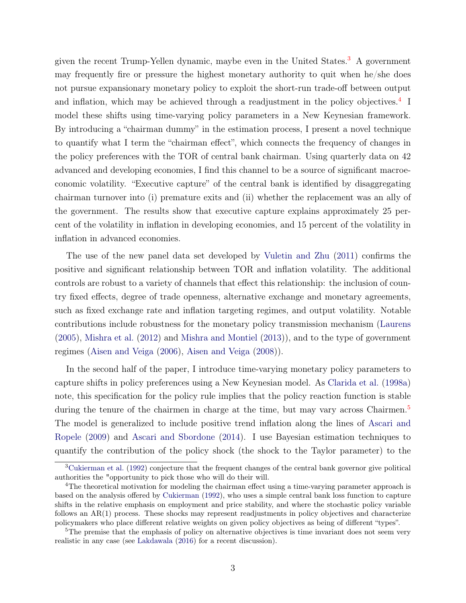given the recent Trump-Yellen dynamic, maybe even in the United States.<sup>3</sup> A government may frequently fire or pressure the highest monetary authority to quit when he/she does not pursue expansionary monetary policy to exploit the short-run trade-off between output and inflation, which may be achieved through a readjustment in the policy objectives.<sup>4</sup> I model these shifts using time-varying policy parameters in a New Keynesian framework. By introducing a "chairman dummy" in the estimation process, I present a novel technique to quantify what I term the "chairman effect", which connects the frequency of changes in the policy preferences with the TOR of central bank chairman. Using quarterly data on 42 advanced and developing economies, I find this channel to be a source of significant macroeconomic volatility. "Executive capture" of the central bank is identified by disaggregating chairman turnover into (i) premature exits and (ii) whether the replacement was an ally of the government. The results show that executive capture explains approximately 25 percent of the volatility in inflation in developing economies, and 15 percent of the volatility in inflation in advanced economies.

The use of the new panel data set developed by Vuletin and Zhu (2011) confirms the positive and significant relationship between TOR and inflation volatility. The additional controls are robust to a variety of channels that effect this relationship: the inclusion of country fixed effects, degree of trade openness, alternative exchange and monetary agreements, such as fixed exchange rate and inflation targeting regimes, and output volatility. Notable contributions include robustness for the monetary policy transmission mechanism (Laurens (2005), Mishra et al. (2012) and Mishra and Montiel (2013)), and to the type of government regimes (Aisen and Veiga (2006), Aisen and Veiga (2008)).

In the second half of the paper, I introduce time-varying monetary policy parameters to capture shifts in policy preferences using a New Keynesian model. As Clarida et al. (1998a) note, this specification for the policy rule implies that the policy reaction function is stable during the tenure of the chairmen in charge at the time, but may vary across Chairmen.<sup>5</sup> The model is generalized to include positive trend inflation along the lines of Ascari and Ropele (2009) and Ascari and Sbordone (2014). I use Bayesian estimation techniques to quantify the contribution of the policy shock (the shock to the Taylor parameter) to the

<sup>3</sup>Cukierman et al. (1992) conjecture that the frequent changes of the central bank governor give political authorities the "opportunity to pick those who will do their will.

<sup>4</sup>The theoretical motivation for modeling the chairman effect using a time-varying parameter approach is based on the analysis offered by Cukierman (1992), who uses a simple central bank loss function to capture shifts in the relative emphasis on employment and price stability, and where the stochastic policy variable follows an AR(1) process. These shocks may represent readjustments in policy objectives and characterize policymakers who place different relative weights on given policy objectives as being of different "types".

<sup>&</sup>lt;sup>5</sup>The premise that the emphasis of policy on alternative objectives is time invariant does not seem very realistic in any case (see Lakdawala (2016) for a recent discussion).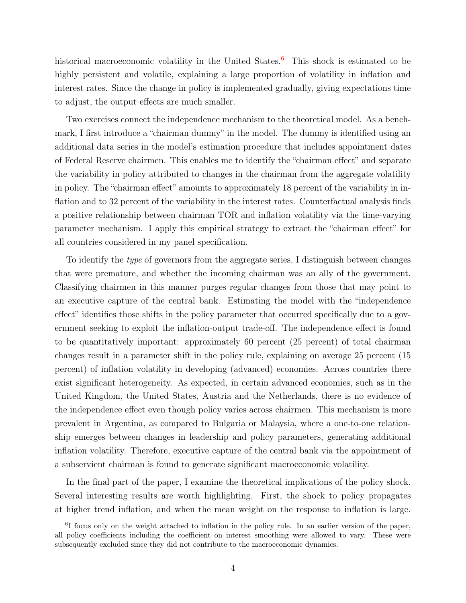historical macroeconomic volatility in the United States.<sup>6</sup> This shock is estimated to be highly persistent and volatile, explaining a large proportion of volatility in inflation and interest rates. Since the change in policy is implemented gradually, giving expectations time to adjust, the output effects are much smaller.

Two exercises connect the independence mechanism to the theoretical model. As a benchmark, I first introduce a "chairman dummy" in the model. The dummy is identified using an additional data series in the model's estimation procedure that includes appointment dates of Federal Reserve chairmen. This enables me to identify the "chairman effect" and separate the variability in policy attributed to changes in the chairman from the aggregate volatility in policy. The "chairman effect" amounts to approximately 18 percent of the variability in inflation and to 32 percent of the variability in the interest rates. Counterfactual analysis finds a positive relationship between chairman TOR and inflation volatility via the time-varying parameter mechanism. I apply this empirical strategy to extract the "chairman effect" for all countries considered in my panel specification.

To identify the type of governors from the aggregate series, I distinguish between changes that were premature, and whether the incoming chairman was an ally of the government. Classifying chairmen in this manner purges regular changes from those that may point to an executive capture of the central bank. Estimating the model with the "independence effect" identifies those shifts in the policy parameter that occurred specifically due to a government seeking to exploit the inflation-output trade-off. The independence effect is found to be quantitatively important: approximately 60 percent (25 percent) of total chairman changes result in a parameter shift in the policy rule, explaining on average 25 percent (15 percent) of inflation volatility in developing (advanced) economies. Across countries there exist significant heterogeneity. As expected, in certain advanced economies, such as in the United Kingdom, the United States, Austria and the Netherlands, there is no evidence of the independence effect even though policy varies across chairmen. This mechanism is more prevalent in Argentina, as compared to Bulgaria or Malaysia, where a one-to-one relationship emerges between changes in leadership and policy parameters, generating additional inflation volatility. Therefore, executive capture of the central bank via the appointment of a subservient chairman is found to generate significant macroeconomic volatility.

In the final part of the paper, I examine the theoretical implications of the policy shock. Several interesting results are worth highlighting. First, the shock to policy propagates at higher trend inflation, and when the mean weight on the response to inflation is large.

<sup>&</sup>lt;sup>6</sup>I focus only on the weight attached to inflation in the policy rule. In an earlier version of the paper, all policy coefficients including the coefficient on interest smoothing were allowed to vary. These were subsequently excluded since they did not contribute to the macroeconomic dynamics.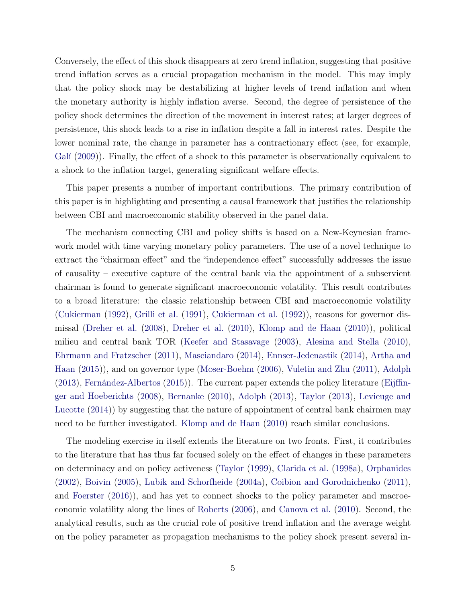Conversely, the effect of this shock disappears at zero trend inflation, suggesting that positive trend inflation serves as a crucial propagation mechanism in the model. This may imply that the policy shock may be destabilizing at higher levels of trend inflation and when the monetary authority is highly inflation averse. Second, the degree of persistence of the policy shock determines the direction of the movement in interest rates; at larger degrees of persistence, this shock leads to a rise in inflation despite a fall in interest rates. Despite the lower nominal rate, the change in parameter has a contractionary effect (see, for example, Galí (2009)). Finally, the effect of a shock to this parameter is observationally equivalent to a shock to the inflation target, generating significant welfare effects.

This paper presents a number of important contributions. The primary contribution of this paper is in highlighting and presenting a causal framework that justifies the relationship between CBI and macroeconomic stability observed in the panel data.

The mechanism connecting CBI and policy shifts is based on a New-Keynesian framework model with time varying monetary policy parameters. The use of a novel technique to extract the "chairman effect" and the "independence effect" successfully addresses the issue of causality – executive capture of the central bank via the appointment of a subservient chairman is found to generate significant macroeconomic volatility. This result contributes to a broad literature: the classic relationship between CBI and macroeconomic volatility (Cukierman (1992), Grilli et al. (1991), Cukierman et al. (1992)), reasons for governor dismissal (Dreher et al. (2008), Dreher et al. (2010), Klomp and de Haan (2010)), political milieu and central bank TOR (Keefer and Stasavage (2003), Alesina and Stella (2010), Ehrmann and Fratzscher (2011), Masciandaro (2014), Ennser-Jedenastik (2014), Artha and Haan (2015)), and on governor type (Moser-Boehm (2006), Vuletin and Zhu (2011), Adolph (2013), Fernández-Albertos (2015)). The current paper extends the policy literature (Eijffinger and Hoeberichts (2008), Bernanke (2010), Adolph (2013), Taylor (2013), Levieuge and Lucotte (2014)) by suggesting that the nature of appointment of central bank chairmen may need to be further investigated. Klomp and de Haan (2010) reach similar conclusions.

The modeling exercise in itself extends the literature on two fronts. First, it contributes to the literature that has thus far focused solely on the effect of changes in these parameters on determinacy and on policy activeness (Taylor (1999), Clarida et al. (1998a), Orphanides (2002), Boivin (2005), Lubik and Schorfheide (2004a), Coibion and Gorodnichenko (2011), and Foerster (2016)), and has yet to connect shocks to the policy parameter and macroeconomic volatility along the lines of Roberts (2006), and Canova et al. (2010). Second, the analytical results, such as the crucial role of positive trend inflation and the average weight on the policy parameter as propagation mechanisms to the policy shock present several in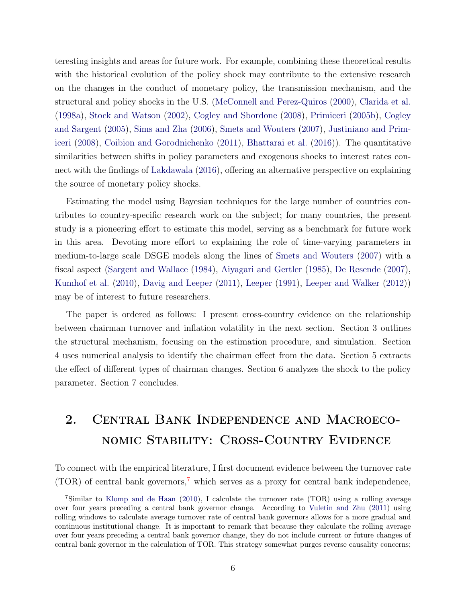teresting insights and areas for future work. For example, combining these theoretical results with the historical evolution of the policy shock may contribute to the extensive research on the changes in the conduct of monetary policy, the transmission mechanism, and the structural and policy shocks in the U.S. (McConnell and Perez-Quiros (2000), Clarida et al. (1998a), Stock and Watson (2002), Cogley and Sbordone (2008), Primiceri (2005b), Cogley and Sargent (2005), Sims and Zha (2006), Smets and Wouters (2007), Justiniano and Primiceri (2008), Coibion and Gorodnichenko (2011), Bhattarai et al. (2016)). The quantitative similarities between shifts in policy parameters and exogenous shocks to interest rates connect with the findings of Lakdawala (2016), offering an alternative perspective on explaining the source of monetary policy shocks.

Estimating the model using Bayesian techniques for the large number of countries contributes to country-specific research work on the subject; for many countries, the present study is a pioneering effort to estimate this model, serving as a benchmark for future work in this area. Devoting more effort to explaining the role of time-varying parameters in medium-to-large scale DSGE models along the lines of Smets and Wouters (2007) with a fiscal aspect (Sargent and Wallace (1984), Aiyagari and Gertler (1985), De Resende (2007), Kumhof et al. (2010), Davig and Leeper (2011), Leeper (1991), Leeper and Walker (2012)) may be of interest to future researchers.

The paper is ordered as follows: I present cross-country evidence on the relationship between chairman turnover and inflation volatility in the next section. Section 3 outlines the structural mechanism, focusing on the estimation procedure, and simulation. Section 4 uses numerical analysis to identify the chairman effect from the data. Section 5 extracts the effect of different types of chairman changes. Section 6 analyzes the shock to the policy parameter. Section 7 concludes.

# 2. Central Bank Independence and Macroeconomic Stability: Cross-Country Evidence

To connect with the empirical literature, I first document evidence between the turnover rate  $(TOR)$  of central bank governors,<sup>7</sup> which serves as a proxy for central bank independence,

<sup>7</sup>Similar to Klomp and de Haan (2010), I calculate the turnover rate (TOR) using a rolling average over four years preceding a central bank governor change. According to Vuletin and Zhu (2011) using rolling windows to calculate average turnover rate of central bank governors allows for a more gradual and continuous institutional change. It is important to remark that because they calculate the rolling average over four years preceding a central bank governor change, they do not include current or future changes of central bank governor in the calculation of TOR. This strategy somewhat purges reverse causality concerns;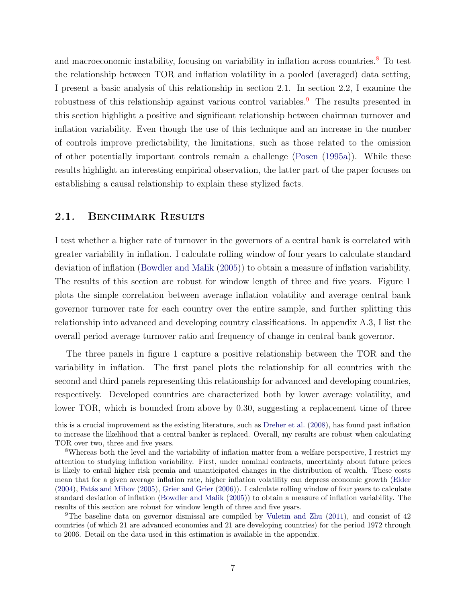and macroeconomic instability, focusing on variability in inflation across countries.<sup>8</sup> To test the relationship between TOR and inflation volatility in a pooled (averaged) data setting, I present a basic analysis of this relationship in section 2.1. In section 2.2, I examine the robustness of this relationship against various control variables.<sup>9</sup> The results presented in this section highlight a positive and significant relationship between chairman turnover and inflation variability. Even though the use of this technique and an increase in the number of controls improve predictability, the limitations, such as those related to the omission of other potentially important controls remain a challenge (Posen (1995a)). While these results highlight an interesting empirical observation, the latter part of the paper focuses on establishing a causal relationship to explain these stylized facts.

#### 2.1. BENCHMARK RESULTS

I test whether a higher rate of turnover in the governors of a central bank is correlated with greater variability in inflation. I calculate rolling window of four years to calculate standard deviation of inflation (Bowdler and Malik (2005)) to obtain a measure of inflation variability. The results of this section are robust for window length of three and five years. Figure 1 plots the simple correlation between average inflation volatility and average central bank governor turnover rate for each country over the entire sample, and further splitting this relationship into advanced and developing country classifications. In appendix A.3, I list the overall period average turnover ratio and frequency of change in central bank governor.

The three panels in figure 1 capture a positive relationship between the TOR and the variability in inflation. The first panel plots the relationship for all countries with the second and third panels representing this relationship for advanced and developing countries, respectively. Developed countries are characterized both by lower average volatility, and lower TOR, which is bounded from above by 0.30, suggesting a replacement time of three

this is a crucial improvement as the existing literature, such as Dreher et al. (2008), has found past inflation to increase the likelihood that a central banker is replaced. Overall, my results are robust when calculating TOR over two, three and five years.

<sup>8</sup>Whereas both the level and the variability of inflation matter from a welfare perspective, I restrict my attention to studying inflation variability. First, under nominal contracts, uncertainty about future prices is likely to entail higher risk premia and unanticipated changes in the distribution of wealth. These costs mean that for a given average inflation rate, higher inflation volatility can depress economic growth (Elder (2004), Fatás and Mihov (2005), Grier and Grier (2006)). I calculate rolling window of four years to calculate standard deviation of inflation (Bowdler and Malik (2005)) to obtain a measure of inflation variability. The results of this section are robust for window length of three and five years.

<sup>9</sup>The baseline data on governor dismissal are compiled by Vuletin and Zhu (2011), and consist of 42 countries (of which 21 are advanced economies and 21 are developing countries) for the period 1972 through to 2006. Detail on the data used in this estimation is available in the appendix.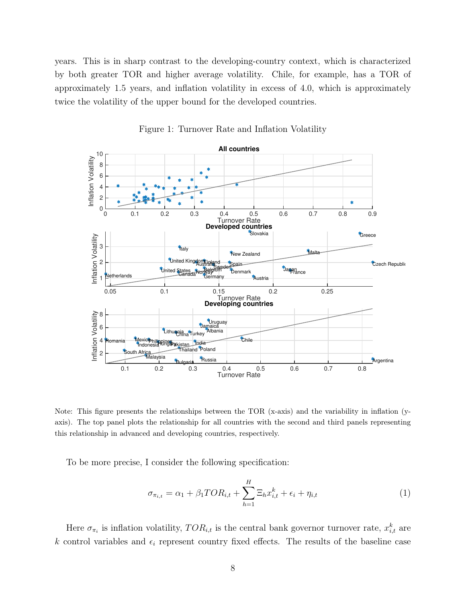years. This is in sharp contrast to the developing-country context, which is characterized by both greater TOR and higher average volatility. Chile, for example, has a TOR of approximately 1.5 years, and inflation volatility in excess of 4.0, which is approximately twice the volatility of the upper bound for the developed countries.



Figure 1: Turnover Rate and Inflation Volatility

Note: This figure presents the relationships between the TOR (x-axis) and the variability in inflation (yaxis). The top panel plots the relationship for all countries with the second and third panels representing this relationship in advanced and developing countries, respectively.

To be more precise, I consider the following specification:

$$
\sigma_{\pi_{i,t}} = \alpha_1 + \beta_1 TOR_{i,t} + \sum_{h=1}^{H} \Xi_h x_{i,t}^k + \epsilon_i + \eta_{i,t}
$$
\n
$$
\tag{1}
$$

Here  $\sigma_{\pi_i}$  is inflation volatility,  $TOR_{i,t}$  is the central bank governor turnover rate,  $x_{i,t}^k$  are k control variables and  $\epsilon_i$  represent country fixed effects. The results of the baseline case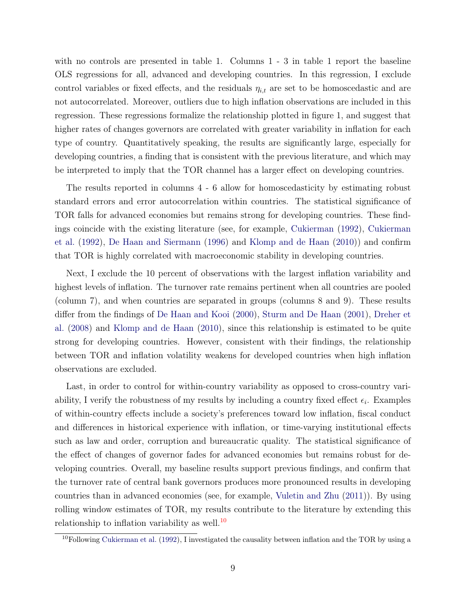with no controls are presented in table 1. Columns 1 - 3 in table 1 report the baseline OLS regressions for all, advanced and developing countries. In this regression, I exclude control variables or fixed effects, and the residuals  $\eta_{i,t}$  are set to be homoscedastic and are not autocorrelated. Moreover, outliers due to high inflation observations are included in this regression. These regressions formalize the relationship plotted in figure 1, and suggest that higher rates of changes governors are correlated with greater variability in inflation for each type of country. Quantitatively speaking, the results are significantly large, especially for developing countries, a finding that is consistent with the previous literature, and which may be interpreted to imply that the TOR channel has a larger effect on developing countries.

The results reported in columns 4 - 6 allow for homoscedasticity by estimating robust standard errors and error autocorrelation within countries. The statistical significance of TOR falls for advanced economies but remains strong for developing countries. These findings coincide with the existing literature (see, for example, Cukierman (1992), Cukierman et al. (1992), De Haan and Siermann (1996) and Klomp and de Haan (2010)) and confirm that TOR is highly correlated with macroeconomic stability in developing countries.

Next, I exclude the 10 percent of observations with the largest inflation variability and highest levels of inflation. The turnover rate remains pertinent when all countries are pooled (column 7), and when countries are separated in groups (columns 8 and 9). These results differ from the findings of De Haan and Kooi (2000), Sturm and De Haan (2001), Dreher et al. (2008) and Klomp and de Haan (2010), since this relationship is estimated to be quite strong for developing countries. However, consistent with their findings, the relationship between TOR and inflation volatility weakens for developed countries when high inflation observations are excluded.

Last, in order to control for within-country variability as opposed to cross-country variability, I verify the robustness of my results by including a country fixed effect  $\epsilon_i$ . Examples of within-country effects include a society's preferences toward low inflation, fiscal conduct and differences in historical experience with inflation, or time-varying institutional effects such as law and order, corruption and bureaucratic quality. The statistical significance of the effect of changes of governor fades for advanced economies but remains robust for developing countries. Overall, my baseline results support previous findings, and confirm that the turnover rate of central bank governors produces more pronounced results in developing countries than in advanced economies (see, for example, Vuletin and Zhu (2011)). By using rolling window estimates of TOR, my results contribute to the literature by extending this relationship to inflation variability as well.<sup>10</sup>

 $10$ Following Cukierman et al. (1992), I investigated the causality between inflation and the TOR by using a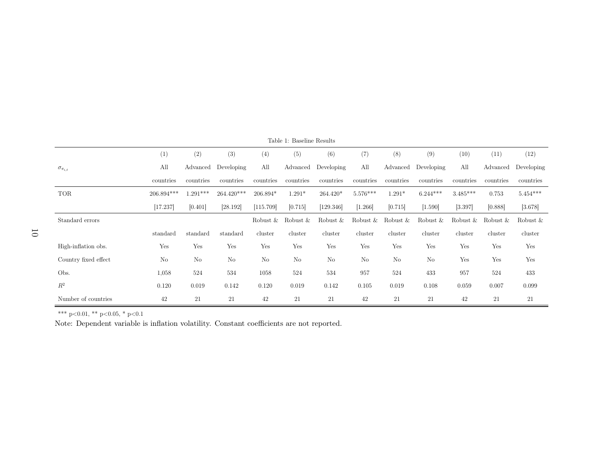| Table 1: Baseline Results |              |                |            |             |                |             |             |             |             |             |             |            |
|---------------------------|--------------|----------------|------------|-------------|----------------|-------------|-------------|-------------|-------------|-------------|-------------|------------|
|                           | (1)          | (2)            | (3)        | (4)         | (5)            | (6)         | (7)         | (8)         | (9)         | (10)        | (11)        | (12)       |
| $\sigma_{\pi_{i,t}}$      | All          | Advanced       | Developing | All         | Advanced       | Developing  | All         | Advanced    | Developing  | All         | Advanced    | Developing |
|                           | countries    | countries      | countries  | countries   | countries      | countries   | countries   | countries   | countries   | countries   | countries   | countries  |
| <b>TOR</b>                | $206.894***$ | $1.291***$     | 264.420*** | 206.894*    | $1.291*$       | $264.420*$  | $5.576***$  | $1.291*$    | $6.244***$  | $3.485***$  | 0.753       | $5.454***$ |
|                           | [17.237]     | [0.401]        | [28.192]   | [115.709]   | [0.715]        | [129.346]   | [1.266]     | [0.715]     | [1.590]     | [3.397]     | [0.888]     | [3.678]    |
| Standard errors           |              |                |            | Robust $\&$ | Robust $\&$    | Robust $\&$ | Robust $\&$ | Robust $\&$ | Robust $\&$ | Robust $\&$ | Robust $\&$ | Robust &   |
|                           | standard     | standard       | standard   | cluster     | cluster        | cluster     | cluster     | cluster     | cluster     | cluster     | cluster     | cluster    |
| High-inflation obs.       | Yes          | Yes            | Yes        | Yes         | Yes            | Yes         | Yes         | Yes         | Yes         | Yes         | Yes         | Yes        |
| Country fixed effect      | No           | N <sub>o</sub> | No         | No          | N <sub>o</sub> | No          | No          | No          | No          | Yes         | Yes         | Yes        |
| Obs.                      | 1,058        | 524            | 534        | 1058        | 524            | 534         | 957         | 524         | 433         | 957         | 524         | 433        |
| $R^2$                     | 0.120        | 0.019          | 0.142      | 0.120       | 0.019          | 0.142       | 0.105       | 0.019       | 0.108       | 0.059       | 0.007       | 0.099      |
| Number of countries       | 42           | 21             | 21         | 42          | 21             | 21          | 42          | 21          | 21          | 42          | 21          | 21         |

\*\*\* <sup>p</sup><sup>&</sup>lt;0.01, \*\* <sup>p</sup><sup>&</sup>lt;0.05, \* <sup>p</sup><0.1

Note: Dependent variable is inflation volatility. Constant coefficients are not reported.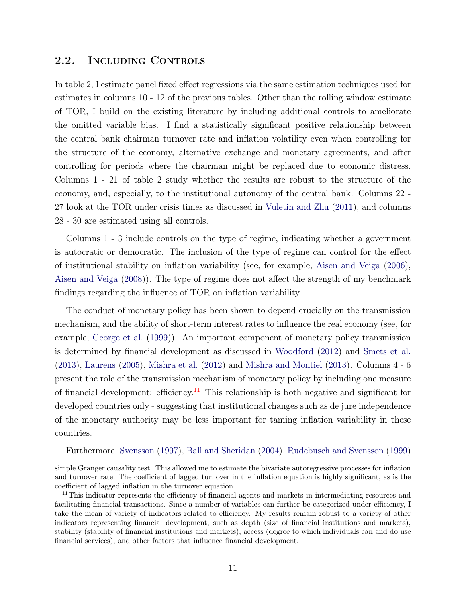#### 2.2. Including Controls

In table 2, I estimate panel fixed effect regressions via the same estimation techniques used for estimates in columns 10 - 12 of the previous tables. Other than the rolling window estimate of TOR, I build on the existing literature by including additional controls to ameliorate the omitted variable bias. I find a statistically significant positive relationship between the central bank chairman turnover rate and inflation volatility even when controlling for the structure of the economy, alternative exchange and monetary agreements, and after controlling for periods where the chairman might be replaced due to economic distress. Columns 1 - 21 of table 2 study whether the results are robust to the structure of the economy, and, especially, to the institutional autonomy of the central bank. Columns 22 - 27 look at the TOR under crisis times as discussed in Vuletin and Zhu (2011), and columns 28 - 30 are estimated using all controls.

Columns 1 - 3 include controls on the type of regime, indicating whether a government is autocratic or democratic. The inclusion of the type of regime can control for the effect of institutional stability on inflation variability (see, for example, Aisen and Veiga (2006), Aisen and Veiga (2008)). The type of regime does not affect the strength of my benchmark findings regarding the influence of TOR on inflation variability.

The conduct of monetary policy has been shown to depend crucially on the transmission mechanism, and the ability of short-term interest rates to influence the real economy (see, for example, George et al. (1999)). An important component of monetary policy transmission is determined by financial development as discussed in Woodford (2012) and Smets et al. (2013), Laurens (2005), Mishra et al. (2012) and Mishra and Montiel (2013). Columns 4 - 6 present the role of the transmission mechanism of monetary policy by including one measure of financial development: efficiency.<sup>11</sup> This relationship is both negative and significant for developed countries only - suggesting that institutional changes such as de jure independence of the monetary authority may be less important for taming inflation variability in these countries.

Furthermore, Svensson (1997), Ball and Sheridan (2004), Rudebusch and Svensson (1999)

simple Granger causality test. This allowed me to estimate the bivariate autoregressive processes for inflation and turnover rate. The coefficient of lagged turnover in the inflation equation is highly significant, as is the coefficient of lagged inflation in the turnover equation.

<sup>&</sup>lt;sup>11</sup>This indicator represents the efficiency of financial agents and markets in intermediating resources and facilitating financial transactions. Since a number of variables can further be categorized under efficiency, I take the mean of variety of indicators related to efficiency. My results remain robust to a variety of other indicators representing financial development, such as depth (size of financial institutions and markets), stability (stability of financial institutions and markets), access (degree to which individuals can and do use financial services), and other factors that influence financial development.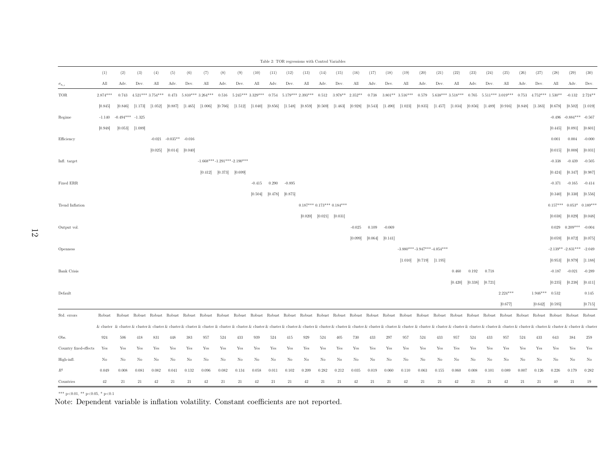|                       |            |                      |         |                    |                            |         |                    |         |                                                                                                                                                                                                                                |          |         |          | Table 2: TOR regressions with Control Variables |                     |                             |          |         |          |                              |                               |                                                       |         |         |         |            |       |                              |                             |          |                                                                                                                                                                                                                               |
|-----------------------|------------|----------------------|---------|--------------------|----------------------------|---------|--------------------|---------|--------------------------------------------------------------------------------------------------------------------------------------------------------------------------------------------------------------------------------|----------|---------|----------|-------------------------------------------------|---------------------|-----------------------------|----------|---------|----------|------------------------------|-------------------------------|-------------------------------------------------------|---------|---------|---------|------------|-------|------------------------------|-----------------------------|----------|-------------------------------------------------------------------------------------------------------------------------------------------------------------------------------------------------------------------------------|
|                       | (1)        | (2)                  | (3)     | (4)                | (5)                        | (6)     | (7)                | (8)     | (9)                                                                                                                                                                                                                            | (10)     | (11)    | (12)     | (13)                                            | (14)                | (15)                        | (16)     | (17)    | (18)     | (19)                         | (20)                          | (21)                                                  | (22)    | (23)    | (24)    | (25)       | (26)  | (27)                         | (28)                        | (29)     | (30)                                                                                                                                                                                                                          |
| $\sigma_{\pi_{i,t}}$  | All        | Adv.                 | Dev.    | All                | Adv.                       | Dev.    | All                | Adv.    | Dev.                                                                                                                                                                                                                           | All      | Adv.    | Dev.     | All                                             | Adv.                | Dev.                        | All      | Adv.    | Dev.     | All                          | Adv.                          | Dev.                                                  | All     | Adv.    | Dev.    | All        | Adv.  | Dev.                         | All                         | Adv.     | Dev.                                                                                                                                                                                                                          |
| TOR                   | $2.874***$ | 0.743                |         | $4.521***3.754***$ | 0.473                      |         | $5.810***3.264***$ |         | $0.516$ $5.245***3.329***0.754$ $5.179***2.393***$                                                                                                                                                                             |          |         |          |                                                 |                     | $0.512$ $3.978**$ $2.352**$ |          |         |          | $0.738$ $3.801**$ $3.516***$ |                               | $0.579$ $5.638***3.518***$ $0.765$ $5.511***3.019***$ |         |         |         |            |       | $0.753$ $4.752***$ $1.530**$ |                             | $-0.132$ | $2.724**$                                                                                                                                                                                                                     |
|                       | [0.845]    | [0.846]              | [1.173] | [1.052]            | [0.887]                    | [1.465] | [1.006]            | [0.766] | [1.512]                                                                                                                                                                                                                        | [1.040]  | [0.856] |          | $[1.548]$ $[0.859]$                             |                     | $[0.569]$ $[1.463]$         | [0.928]  | [0.543] | [1.490]  | [1.023]                      | [0.835]                       | [1.457]                                               | [1.034] | [0.856] | [1.489] | [0.916]    |       | $[0.848]$ $[1.383]$          | [0.678]                     | [0.502]  | [1.019]                                                                                                                                                                                                                       |
| Regime                | $-1.140$   | $-0.494***$ $-1.325$ |         |                    |                            |         |                    |         |                                                                                                                                                                                                                                |          |         |          |                                                 |                     |                             |          |         |          |                              |                               |                                                       |         |         |         |            |       |                              |                             |          | $-0.496 -0.884*** -0.567$                                                                                                                                                                                                     |
|                       | [0.948]    | [0.053]              | [1.089] |                    |                            |         |                    |         |                                                                                                                                                                                                                                |          |         |          |                                                 |                     |                             |          |         |          |                              |                               |                                                       |         |         |         |            |       |                              | [0.445]                     | [0.091]  | [0.601]                                                                                                                                                                                                                       |
| Efficiency            |            |                      |         |                    | $-0.021 - 0.035*** -0.016$ |         |                    |         |                                                                                                                                                                                                                                |          |         |          |                                                 |                     |                             |          |         |          |                              |                               |                                                       |         |         |         |            |       |                              | 0.001                       | 0.004    | $-0.000$                                                                                                                                                                                                                      |
|                       |            |                      |         | [0.025]            | [0.014]                    | [0.040] |                    |         |                                                                                                                                                                                                                                |          |         |          |                                                 |                     |                             |          |         |          |                              |                               |                                                       |         |         |         |            |       |                              | [0.015]                     | [0.008]  | [0.031]                                                                                                                                                                                                                       |
| Infl. target          |            |                      |         |                    |                            |         |                    |         | $-1.668***-1.291***-2.190***$                                                                                                                                                                                                  |          |         |          |                                                 |                     |                             |          |         |          |                              |                               |                                                       |         |         |         |            |       |                              | $-0.338$                    | $-0.439$ | $-0.505$                                                                                                                                                                                                                      |
|                       |            |                      |         |                    |                            |         | [0.412]            | [0.373] | [0.699]                                                                                                                                                                                                                        |          |         |          |                                                 |                     |                             |          |         |          |                              |                               |                                                       |         |         |         |            |       |                              | [0.424]                     | [0.347]  | [0.987]                                                                                                                                                                                                                       |
| Fixed ERR             |            |                      |         |                    |                            |         |                    |         |                                                                                                                                                                                                                                | $-0.415$ | 0.290   | $-0.895$ |                                                 |                     |                             |          |         |          |                              |                               |                                                       |         |         |         |            |       |                              | $-0.371$                    | $-0.165$ | $-0.414$                                                                                                                                                                                                                      |
|                       |            |                      |         |                    |                            |         |                    |         |                                                                                                                                                                                                                                | [0.504]  | [0.478] | [0.875]  |                                                 |                     |                             |          |         |          |                              |                               |                                                       |         |         |         |            |       |                              | [0.340]                     | [0.330]  | [0.556]                                                                                                                                                                                                                       |
| Trend Inflation       |            |                      |         |                    |                            |         |                    |         |                                                                                                                                                                                                                                |          |         |          | $0.187***$ $0.173***$ $0.184***$                |                     |                             |          |         |          |                              |                               |                                                       |         |         |         |            |       |                              |                             |          | $0.157***$ $0.053*$ $0.189***$                                                                                                                                                                                                |
|                       |            |                      |         |                    |                            |         |                    |         |                                                                                                                                                                                                                                |          |         |          | [0.020]                                         | $[0.021]$ $[0.031]$ |                             |          |         |          |                              |                               |                                                       |         |         |         |            |       |                              | [0.038]                     | [0.029]  | [0.048]                                                                                                                                                                                                                       |
| Output vol.           |            |                      |         |                    |                            |         |                    |         |                                                                                                                                                                                                                                |          |         |          |                                                 |                     |                             | $-0.025$ | 0.109   | $-0.069$ |                              |                               |                                                       |         |         |         |            |       |                              | $\,0.029\,$                 |          | $0.209***$ -0.004                                                                                                                                                                                                             |
|                       |            |                      |         |                    |                            |         |                    |         |                                                                                                                                                                                                                                |          |         |          |                                                 |                     |                             | [0.099]  | [0.064] | [0.141]  |                              |                               |                                                       |         |         |         |            |       |                              | [0.059]                     | [0.072]  | [0.075]                                                                                                                                                                                                                       |
| Openness              |            |                      |         |                    |                            |         |                    |         |                                                                                                                                                                                                                                |          |         |          |                                                 |                     |                             |          |         |          |                              |                               | $-3.880***-3.947***-4.054***$                         |         |         |         |            |       |                              | $-2.139** -2.831*** -2.049$ |          |                                                                                                                                                                                                                               |
|                       |            |                      |         |                    |                            |         |                    |         |                                                                                                                                                                                                                                |          |         |          |                                                 |                     |                             |          |         |          |                              | $[1.010]$ $[0.719]$ $[1.195]$ |                                                       |         |         |         |            |       |                              | [0.953]                     | [0.979]  | [1.188]                                                                                                                                                                                                                       |
| Bank Crisis           |            |                      |         |                    |                            |         |                    |         |                                                                                                                                                                                                                                |          |         |          |                                                 |                     |                             |          |         |          |                              |                               |                                                       | 0.460   | 0.192   | 0.718   |            |       |                              | $-0.187$                    | $-0.021$ | $-0.289$                                                                                                                                                                                                                      |
|                       |            |                      |         |                    |                            |         |                    |         |                                                                                                                                                                                                                                |          |         |          |                                                 |                     |                             |          |         |          |                              |                               |                                                       | [0.420] | [0.338] | [0.721] |            |       |                              | [0.235]                     | [0.238]  | [0.411]                                                                                                                                                                                                                       |
| Default               |            |                      |         |                    |                            |         |                    |         |                                                                                                                                                                                                                                |          |         |          |                                                 |                     |                             |          |         |          |                              |                               |                                                       |         |         |         | $2.224***$ |       | $1.946***$                   | 0.532                       |          | 0.145                                                                                                                                                                                                                         |
|                       |            |                      |         |                    |                            |         |                    |         |                                                                                                                                                                                                                                |          |         |          |                                                 |                     |                             |          |         |          |                              |                               |                                                       |         |         |         | [0.677]    |       | $[0.642]$                    | [0.595]                     |          | [0.715]                                                                                                                                                                                                                       |
| Std. errors           | Robust     | Robust               |         |                    |                            |         |                    |         | Robust Robust Robust Robust Robust Robust Robust Robust Robust Robust Robust Robust Robust Robust Robust Robust Robust Robust Robust Robust Robust Robust Robust Robust Robust Robust Robust Robust Robust Robust Robust Robus |          |         |          |                                                 |                     |                             |          |         |          |                              |                               |                                                       |         |         |         |            |       |                              | Robust Robust Robust        |          | Robust                                                                                                                                                                                                                        |
|                       |            |                      |         |                    |                            |         |                    |         |                                                                                                                                                                                                                                |          |         |          |                                                 |                     |                             |          |         |          |                              |                               |                                                       |         |         |         |            |       |                              |                             |          | & cluster & cluster & cluster & cluster & cluster & cluster & cluster & cluster & cluster & cluster & cluster & cluster & cluster & cluster & cluster & cluster & cluster & cluster & cluster & cluster & cluster & cluster & |
| Obs.                  | 924        | 506                  | 418     | 831                | 448                        | 383     | 957                | 524     | 433                                                                                                                                                                                                                            | 939      | 524     | 415      | 929                                             | 524                 | 405                         | 730      | 433     | 297      | 957                          | 524                           | 433                                                   | 957     | 524     | 433     | 957        | 524   | 433                          | 643                         | 384      | 259                                                                                                                                                                                                                           |
| Country fixed-effects | Yes        | Yes                  | Yes     | Yes                | Yes                        | Yes     | Yes                | Yes     | Yes                                                                                                                                                                                                                            | Yes      | Yes     | Yes      | Yes                                             | Yes                 | Yes                         | Yes      | Yes     | Yes      | Yes                          | Yes                           | Yes                                                   | Yes     | Yes     | Yes     | Yes        | Yes   | Yes                          | Yes                         | Yes      | Yes                                                                                                                                                                                                                           |
| High-infl.            | No         | No                   | No      | No                 | No                         | No      | No                 | No      | No                                                                                                                                                                                                                             | No       | No      | No       | No                                              | No                  | No                          | No       | No      | No       | No                           | No                            | No                                                    | No      | No      | No      | No         | No    | No                           | No                          | $\rm No$ | No                                                                                                                                                                                                                            |
| $R^2$                 | 0.049      | 0.008                | 0.081   | 0.082              | 0.041                      | 0.132   | 0.096              | 0.082   | 0.134                                                                                                                                                                                                                          | 0.058    | 0.011   | 0.102    | 0.209                                           | 0.282               | 0.212                       | 0.035    | 0.019   | 0.060    | 0.110                        | 0.063                         | 0.155                                                 | 0.060   | 0.008   | 0.101   | 0.089      | 0.007 | 0.126                        | 0.226                       | 0.179    | 0.282                                                                                                                                                                                                                         |
| Countries             | 42         | 21                   | 21      | 42                 | 21                         | 21      | $42\,$             | $21\,$  | 21                                                                                                                                                                                                                             | 42       | 21      | $21\,$   | $42\,$                                          | 21                  | 21                          | 42       | 21      | 21       | $42\,$                       | $21\,$                        | 21                                                    | $42\,$  | $21\,$  | 21      | 42         | 21    | 21                           | 40                          | 21       | 19                                                                                                                                                                                                                            |

\*\*\* <sup>p</sup><sup>&</sup>lt;0.01, \*\* <sup>p</sup><sup>&</sup>lt;0.05, \* <sup>p</sup><0.1

Note: Dependent variable is inflation volatility. Constant coefficients are not reported.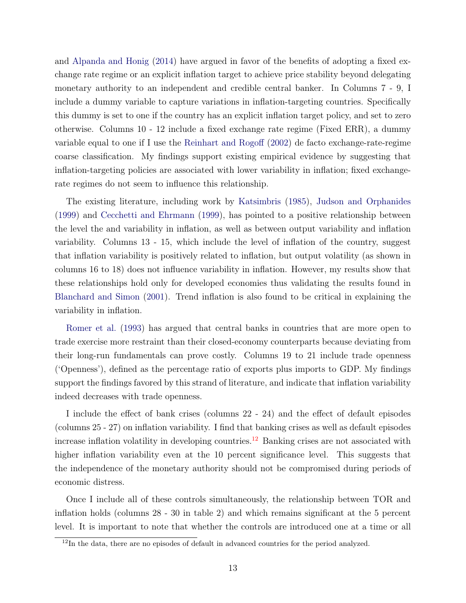and Alpanda and Honig (2014) have argued in favor of the benefits of adopting a fixed exchange rate regime or an explicit inflation target to achieve price stability beyond delegating monetary authority to an independent and credible central banker. In Columns 7 - 9, I include a dummy variable to capture variations in inflation-targeting countries. Specifically this dummy is set to one if the country has an explicit inflation target policy, and set to zero otherwise. Columns 10 - 12 include a fixed exchange rate regime (Fixed ERR), a dummy variable equal to one if I use the Reinhart and Rogoff (2002) de facto exchange-rate-regime coarse classification. My findings support existing empirical evidence by suggesting that inflation-targeting policies are associated with lower variability in inflation; fixed exchangerate regimes do not seem to influence this relationship.

The existing literature, including work by Katsimbris (1985), Judson and Orphanides (1999) and Cecchetti and Ehrmann (1999), has pointed to a positive relationship between the level the and variability in inflation, as well as between output variability and inflation variability. Columns 13 - 15, which include the level of inflation of the country, suggest that inflation variability is positively related to inflation, but output volatility (as shown in columns 16 to 18) does not influence variability in inflation. However, my results show that these relationships hold only for developed economies thus validating the results found in Blanchard and Simon (2001). Trend inflation is also found to be critical in explaining the variability in inflation.

Romer et al. (1993) has argued that central banks in countries that are more open to trade exercise more restraint than their closed-economy counterparts because deviating from their long-run fundamentals can prove costly. Columns 19 to 21 include trade openness ('Openness'), defined as the percentage ratio of exports plus imports to GDP. My findings support the findings favored by this strand of literature, and indicate that inflation variability indeed decreases with trade openness.

I include the effect of bank crises (columns 22 - 24) and the effect of default episodes (columns 25 - 27) on inflation variability. I find that banking crises as well as default episodes increase inflation volatility in developing countries.<sup>12</sup> Banking crises are not associated with higher inflation variability even at the 10 percent significance level. This suggests that the independence of the monetary authority should not be compromised during periods of economic distress.

Once I include all of these controls simultaneously, the relationship between TOR and inflation holds (columns 28 - 30 in table 2) and which remains significant at the 5 percent level. It is important to note that whether the controls are introduced one at a time or all

<sup>&</sup>lt;sup>12</sup>In the data, there are no episodes of default in advanced countries for the period analyzed.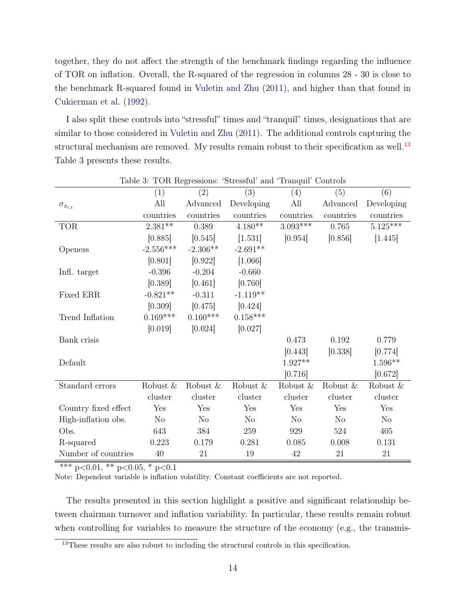together, they do not affect the strength of the benchmark findings regarding the influence of TOR on inflation. Overall, the R-squared of the regression in columns 28 - 30 is close to the benchmark R-squared found in Vuletin and Zhu (2011), and higher than that found in Cukierman et al. (1992).

I also split these controls into "stressful" times and "tranquil" times, designations that are similar to those considered in Vuletin and Zhu (2011). The additional controls capturing the structural mechanism are removed. My results remain robust to their specification as well.<sup>13</sup> Table 3 presents these results.

|                      | (1)            | (2)         | (3)            | л.<br>(4)      | (5)            | (6)            |
|----------------------|----------------|-------------|----------------|----------------|----------------|----------------|
| $\sigma_{\pi_{i,t}}$ | All            | Advanced    | Developing     | All            | Advanced       | Developing     |
|                      | countries      | countries   | countries      | countries      | countries      | countries      |
| <b>TOR</b>           | $2.381**$      | 0.389       | $4.180**$      | $3.093***$     | 0.765          | $5.125***$     |
|                      | [0.885]        | [0.545]     | [1.531]        | [0.954]        | [0.856]        | [1.445]        |
| Openess              | $-2.556***$    | $-2.306**$  | $-2.691**$     |                |                |                |
|                      | [0.801]        | [0.922]     | [1.066]        |                |                |                |
| Infl. target         | $-0.396$       | $-0.204$    | $-0.660$       |                |                |                |
|                      | [0.389]        | [0.461]     | [0.760]        |                |                |                |
| Fixed ERR            | $-0.821**$     | $-0.311$    | $-1.119**$     |                |                |                |
|                      | [0.309]        | [0.475]     | [0.424]        |                |                |                |
| Trend Inflation      | $0.169***$     | $0.160***$  | $0.158***$     |                |                |                |
|                      | [0.019]        | [0.024]     | [0.027]        |                |                |                |
| Bank crisis          |                |             |                | 0.473          | 0.192          | 0.779          |
|                      |                |             |                | [0.443]        | [0.338]        | [0.774]        |
| Default              |                |             |                | $1.927**$      |                | $1.596**$      |
|                      |                |             |                | [0.716]        |                | [0.672]        |
| Standard errors      | Robust $\&$    | Robust $\&$ | Robust &       | Robust &       | Robust &       | Robust &       |
|                      | cluster        | cluster     | cluster        | cluster        | cluster        | cluster        |
| Country fixed effect | Yes            | Yes         | Yes            | Yes            | Yes            | Yes            |
| High-inflation obs.  | N <sub>o</sub> | $\rm No$    | N <sub>o</sub> | N <sub>o</sub> | N <sub>o</sub> | N <sub>o</sub> |
| Obs.                 | 643            | 384         | 259            | 929            | 524            | 405            |
| R-squared            | 0.223          | 0.179       | 0.281          | 0.085          | 0.008          | 0.131          |
| Number of countries  | $40\,$         | 21          | $19\,$         | 42             | $21\,$         | $21\,$         |

Table 3: TOR Regressions: 'Stressful' and 'Tranquil' Controls

\*\*\* p<0.01, \*\* p<0.05, \* p<0.1

Note: Dependent variable is inflation volatility. Constant coefficients are not reported.

The results presented in this section highlight a positive and significant relationship between chairman turnover and inflation variability. In particular, these results remain robust when controlling for variables to measure the structure of the economy (e.g., the transmis-

<sup>&</sup>lt;sup>13</sup>These results are also robust to including the structural controls in this specification.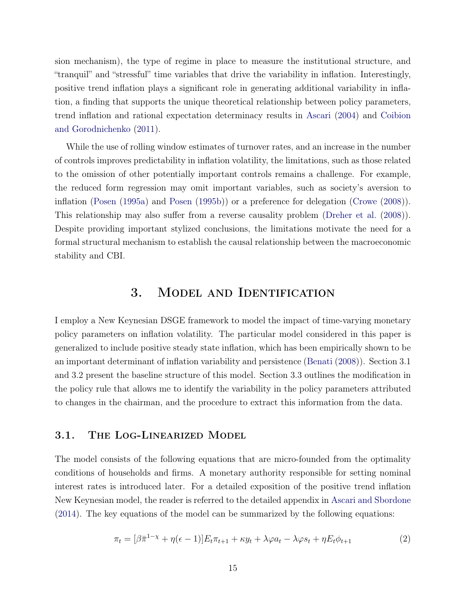sion mechanism), the type of regime in place to measure the institutional structure, and "tranquil" and "stressful" time variables that drive the variability in inflation. Interestingly, positive trend inflation plays a significant role in generating additional variability in inflation, a finding that supports the unique theoretical relationship between policy parameters, trend inflation and rational expectation determinacy results in Ascari (2004) and Coibion and Gorodnichenko (2011).

While the use of rolling window estimates of turnover rates, and an increase in the number of controls improves predictability in inflation volatility, the limitations, such as those related to the omission of other potentially important controls remains a challenge. For example, the reduced form regression may omit important variables, such as society's aversion to inflation (Posen (1995a) and Posen (1995b)) or a preference for delegation (Crowe (2008)). This relationship may also suffer from a reverse causality problem (Dreher et al. (2008)). Despite providing important stylized conclusions, the limitations motivate the need for a formal structural mechanism to establish the causal relationship between the macroeconomic stability and CBI.

# 3. Model and Identification

I employ a New Keynesian DSGE framework to model the impact of time-varying monetary policy parameters on inflation volatility. The particular model considered in this paper is generalized to include positive steady state inflation, which has been empirically shown to be an important determinant of inflation variability and persistence (Benati (2008)). Section 3.1 and 3.2 present the baseline structure of this model. Section 3.3 outlines the modification in the policy rule that allows me to identify the variability in the policy parameters attributed to changes in the chairman, and the procedure to extract this information from the data.

#### 3.1. The Log-Linearized Model

The model consists of the following equations that are micro-founded from the optimality conditions of households and firms. A monetary authority responsible for setting nominal interest rates is introduced later. For a detailed exposition of the positive trend inflation New Keynesian model, the reader is referred to the detailed appendix in Ascari and Sbordone (2014). The key equations of the model can be summarized by the following equations:

$$
\pi_t = [\beta \bar{\pi}^{1-\chi} + \eta(\epsilon - 1)] E_t \pi_{t+1} + \kappa y_t + \lambda \varphi a_t - \lambda \varphi s_t + \eta E_t \phi_{t+1} \tag{2}
$$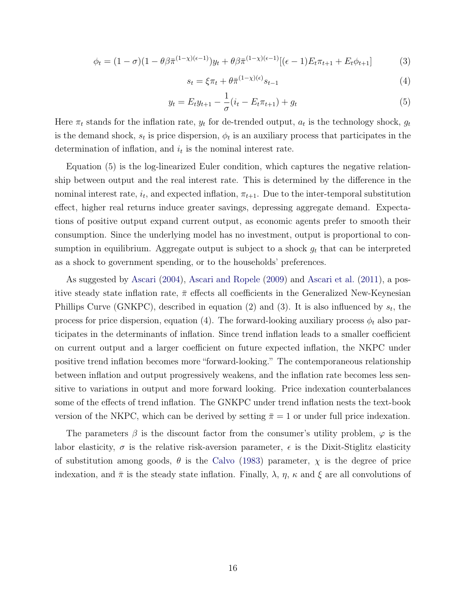$$
\phi_t = (1 - \sigma)(1 - \theta)\bar{\pi}^{(1 - \chi)(\epsilon - 1)})y_t + \theta\bar{\pi}^{(1 - \chi)(\epsilon - 1)}[(\epsilon - 1)E_t\pi_{t+1} + E_t\phi_{t+1}] \tag{3}
$$

$$
s_t = \xi \pi_t + \theta \bar{\pi}^{(1-\chi)(\epsilon)} s_{t-1} \tag{4}
$$

$$
y_t = E_t y_{t+1} - \frac{1}{\sigma} (i_t - E_t \pi_{t+1}) + g_t \tag{5}
$$

Here  $\pi_t$  stands for the inflation rate,  $y_t$  for de-trended output,  $a_t$  is the technology shock,  $g_t$ is the demand shock,  $s_t$  is price dispersion,  $\phi_t$  is an auxiliary process that participates in the determination of inflation, and  $i_t$  is the nominal interest rate.

Equation (5) is the log-linearized Euler condition, which captures the negative relationship between output and the real interest rate. This is determined by the difference in the nominal interest rate,  $i_t$ , and expected inflation,  $\pi_{t+1}$ . Due to the inter-temporal substitution effect, higher real returns induce greater savings, depressing aggregate demand. Expectations of positive output expand current output, as economic agents prefer to smooth their consumption. Since the underlying model has no investment, output is proportional to consumption in equilibrium. Aggregate output is subject to a shock  $g_t$  that can be interpreted as a shock to government spending, or to the households' preferences.

As suggested by Ascari (2004), Ascari and Ropele (2009) and Ascari et al. (2011), a positive steady state inflation rate,  $\bar{\pi}$  effects all coefficients in the Generalized New-Keynesian Phillips Curve (GNKPC), described in equation (2) and (3). It is also influenced by  $s_t$ , the process for price dispersion, equation (4). The forward-looking auxiliary process  $\phi_t$  also participates in the determinants of inflation. Since trend inflation leads to a smaller coefficient on current output and a larger coefficient on future expected inflation, the NKPC under positive trend inflation becomes more "forward-looking." The contemporaneous relationship between inflation and output progressively weakens, and the inflation rate becomes less sensitive to variations in output and more forward looking. Price indexation counterbalances some of the effects of trend inflation. The GNKPC under trend inflation nests the text-book version of the NKPC, which can be derived by setting  $\bar{\pi} = 1$  or under full price indexation.

The parameters  $\beta$  is the discount factor from the consumer's utility problem,  $\varphi$  is the labor elasticity,  $\sigma$  is the relative risk-aversion parameter,  $\epsilon$  is the Dixit-Stiglitz elasticity of substitution among goods,  $\theta$  is the Calvo (1983) parameter,  $\chi$  is the degree of price indexation, and  $\bar{\pi}$  is the steady state inflation. Finally,  $\lambda$ ,  $\eta$ ,  $\kappa$  and  $\xi$  are all convolutions of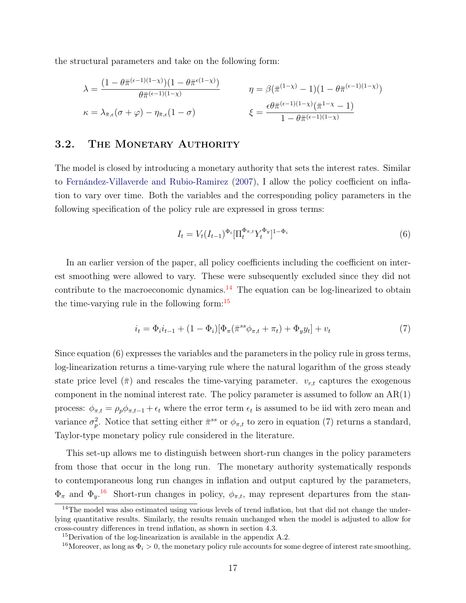the structural parameters and take on the following form:

$$
\lambda = \frac{(1 - \theta \bar{\pi}^{(\epsilon-1)(1-\chi)})(1 - \theta \bar{\pi}^{(\epsilon(1-\chi)})}{\theta \bar{\pi}^{(\epsilon-1)(1-\chi)}} \qquad \eta = \beta(\bar{\pi}^{(1-\chi)} - 1)(1 - \theta \bar{\pi}^{(\epsilon-1)(1-\chi)})
$$

$$
\kappa = \lambda_{\bar{\pi},\epsilon}(\sigma + \varphi) - \eta_{\bar{\pi},\epsilon}(1 - \sigma) \qquad \qquad \xi = \frac{\epsilon \theta \bar{\pi}^{(\epsilon-1)(1-\chi)}(\bar{\pi}^{1-\chi} - 1)}{1 - \theta \bar{\pi}^{(\epsilon-1)(1-\chi)}}
$$

#### 3.2. THE MONETARY AUTHORITY

The model is closed by introducing a monetary authority that sets the interest rates. Similar to Fernández-Villaverde and Rubio-Ramirez (2007), I allow the policy coefficient on inflation to vary over time. Both the variables and the corresponding policy parameters in the following specification of the policy rule are expressed in gross terms:

$$
I_t = V_t (I_{t-1})^{\Phi_i} [\Pi_t^{\Phi_{\pi,t}} Y_t^{\Phi_y}]^{1-\Phi_i}
$$
\n(6)

In an earlier version of the paper, all policy coefficients including the coefficient on interest smoothing were allowed to vary. These were subsequently excluded since they did not contribute to the macroeconomic dynamics.<sup>14</sup> The equation can be log-linearized to obtain the time-varying rule in the following form: $15$ 

$$
i_t = \Phi_i i_{t-1} + (1 - \Phi_i) [\Phi_\pi(\bar{\pi}^{ss} \phi_{\pi,t} + \pi_t) + \Phi_y y_t] + v_t \tag{7}
$$

Since equation (6) expresses the variables and the parameters in the policy rule in gross terms, log-linearization returns a time-varying rule where the natural logarithm of the gross steady state price level  $(\bar{\pi})$  and rescales the time-varying parameter.  $v_{r,t}$  captures the exogenous component in the nominal interest rate. The policy parameter is assumed to follow an  $AR(1)$ process:  $\phi_{\pi,t} = \rho_p \phi_{\pi,t-1} + \epsilon_t$  where the error term  $\epsilon_t$  is assumed to be iid with zero mean and variance  $\sigma_p^2$ . Notice that setting either  $\bar{\pi}^{ss}$  or  $\phi_{\pi,t}$  to zero in equation (7) returns a standard, Taylor-type monetary policy rule considered in the literature.

This set-up allows me to distinguish between short-run changes in the policy parameters from those that occur in the long run. The monetary authority systematically responds to contemporaneous long run changes in inflation and output captured by the parameters,  $\Phi_{\pi}$  and  $\Phi_y$ .<sup>16</sup> Short-run changes in policy,  $\phi_{\pi,t}$ , may represent departures from the stan-

<sup>&</sup>lt;sup>14</sup>The model was also estimated using various levels of trend inflation, but that did not change the underlying quantitative results. Similarly, the results remain unchanged when the model is adjusted to allow for cross-country differences in trend inflation, as shown in section 4.3.

<sup>&</sup>lt;sup>15</sup>Derivation of the log-linearization is available in the appendix A.2.

<sup>&</sup>lt;sup>16</sup>Moreover, as long as  $\Phi_i > 0$ , the monetary policy rule accounts for some degree of interest rate smoothing,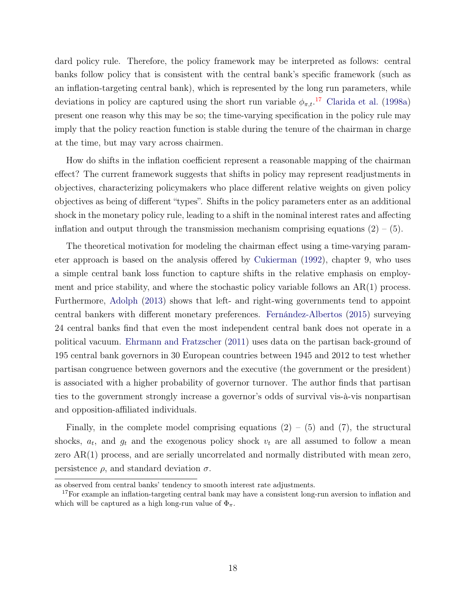dard policy rule. Therefore, the policy framework may be interpreted as follows: central banks follow policy that is consistent with the central bank's specific framework (such as an inflation-targeting central bank), which is represented by the long run parameters, while deviations in policy are captured using the short run variable  $\phi_{\pi,t}$ <sup>17</sup> Clarida et al. (1998a) present one reason why this may be so; the time-varying specification in the policy rule may imply that the policy reaction function is stable during the tenure of the chairman in charge at the time, but may vary across chairmen.

How do shifts in the inflation coefficient represent a reasonable mapping of the chairman effect? The current framework suggests that shifts in policy may represent readjustments in objectives, characterizing policymakers who place different relative weights on given policy objectives as being of different "types". Shifts in the policy parameters enter as an additional shock in the monetary policy rule, leading to a shift in the nominal interest rates and affecting inflation and output through the transmission mechanism comprising equations  $(2) - (5)$ .

The theoretical motivation for modeling the chairman effect using a time-varying parameter approach is based on the analysis offered by Cukierman (1992), chapter 9, who uses a simple central bank loss function to capture shifts in the relative emphasis on employment and price stability, and where the stochastic policy variable follows an AR(1) process. Furthermore, Adolph (2013) shows that left- and right-wing governments tend to appoint central bankers with different monetary preferences. Fernández-Albertos (2015) surveying 24 central banks find that even the most independent central bank does not operate in a political vacuum. Ehrmann and Fratzscher (2011) uses data on the partisan back-ground of 195 central bank governors in 30 European countries between 1945 and 2012 to test whether partisan congruence between governors and the executive (the government or the president) is associated with a higher probability of governor turnover. The author finds that partisan ties to the government strongly increase a governor's odds of survival vis-à-vis nonpartisan and opposition-affiliated individuals.

Finally, in the complete model comprising equations  $(2) - (5)$  and  $(7)$ , the structural shocks,  $a_t$ , and  $g_t$  and the exogenous policy shock  $v_t$  are all assumed to follow a mean zero AR(1) process, and are serially uncorrelated and normally distributed with mean zero, persistence  $\rho$ , and standard deviation  $\sigma$ .

as observed from central banks' tendency to smooth interest rate adjustments.

<sup>&</sup>lt;sup>17</sup>For example an inflation-targeting central bank may have a consistent long-run aversion to inflation and which will be captured as a high long-run value of  $\Phi_{\pi}$ .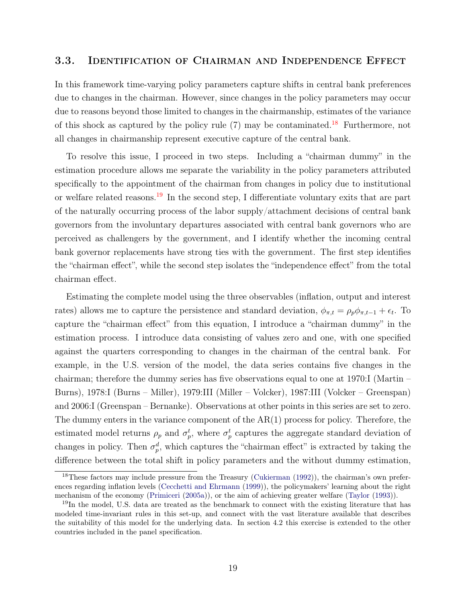#### 3.3. Identification of Chairman and Independence Effect

In this framework time-varying policy parameters capture shifts in central bank preferences due to changes in the chairman. However, since changes in the policy parameters may occur due to reasons beyond those limited to changes in the chairmanship, estimates of the variance of this shock as captured by the policy rule  $(7)$  may be contaminated.<sup>18</sup> Furthermore, not all changes in chairmanship represent executive capture of the central bank.

To resolve this issue, I proceed in two steps. Including a "chairman dummy" in the estimation procedure allows me separate the variability in the policy parameters attributed specifically to the appointment of the chairman from changes in policy due to institutional or welfare related reasons.<sup>19</sup> In the second step, I differentiate voluntary exits that are part of the naturally occurring process of the labor supply/attachment decisions of central bank governors from the involuntary departures associated with central bank governors who are perceived as challengers by the government, and I identify whether the incoming central bank governor replacements have strong ties with the government. The first step identifies the "chairman effect", while the second step isolates the "independence effect" from the total chairman effect.

Estimating the complete model using the three observables (inflation, output and interest rates) allows me to capture the persistence and standard deviation,  $\phi_{\pi,t} = \rho_p \phi_{\pi,t-1} + \epsilon_t$ . To capture the "chairman effect" from this equation, I introduce a "chairman dummy" in the estimation process. I introduce data consisting of values zero and one, with one specified against the quarters corresponding to changes in the chairman of the central bank. For example, in the U.S. version of the model, the data series contains five changes in the chairman; therefore the dummy series has five observations equal to one at 1970:I (Martin – Burns), 1978:I (Burns – Miller), 1979:III (Miller – Volcker), 1987:III (Volcker – Greenspan) and 2006:I (Greenspan – Bernanke). Observations at other points in this series are set to zero. The dummy enters in the variance component of the AR(1) process for policy. Therefore, the estimated model returns  $\rho_p$  and  $\sigma_p^t$ , where  $\sigma_p^t$  captures the aggregate standard deviation of changes in policy. Then  $\sigma_p^d$ , which captures the "chairman effect" is extracted by taking the difference between the total shift in policy parameters and the without dummy estimation,

<sup>&</sup>lt;sup>18</sup>These factors may include pressure from the Treasury (Cukierman (1992)), the chairman's own preferences regarding inflation levels (Cecchetti and Ehrmann (1999)), the policymakers' learning about the right mechanism of the economy (Primiceri (2005a)), or the aim of achieving greater welfare (Taylor (1993)).

<sup>&</sup>lt;sup>19</sup>In the model, U.S. data are treated as the benchmark to connect with the existing literature that has modeled time-invariant rules in this set-up, and connect with the vast literature available that describes the suitability of this model for the underlying data. In section 4.2 this exercise is extended to the other countries included in the panel specification.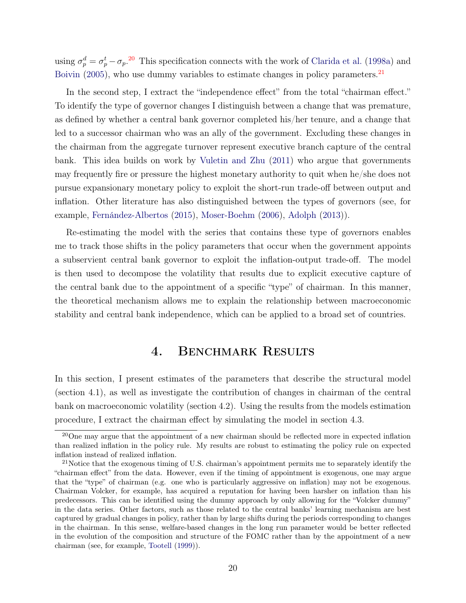using  $\sigma_p^d = \sigma_p^t - \sigma_p^2$ . This specification connects with the work of Clarida et al. (1998a) and Boivin (2005), who use dummy variables to estimate changes in policy parameters.<sup>21</sup>

In the second step, I extract the "independence effect" from the total "chairman effect." To identify the type of governor changes I distinguish between a change that was premature, as defined by whether a central bank governor completed his/her tenure, and a change that led to a successor chairman who was an ally of the government. Excluding these changes in the chairman from the aggregate turnover represent executive branch capture of the central bank. This idea builds on work by Vuletin and Zhu (2011) who argue that governments may frequently fire or pressure the highest monetary authority to quit when he/she does not pursue expansionary monetary policy to exploit the short-run trade-off between output and inflation. Other literature has also distinguished between the types of governors (see, for example, Fernández-Albertos (2015), Moser-Boehm (2006), Adolph (2013)).

Re-estimating the model with the series that contains these type of governors enables me to track those shifts in the policy parameters that occur when the government appoints a subservient central bank governor to exploit the inflation-output trade-off. The model is then used to decompose the volatility that results due to explicit executive capture of the central bank due to the appointment of a specific "type" of chairman. In this manner, the theoretical mechanism allows me to explain the relationship between macroeconomic stability and central bank independence, which can be applied to a broad set of countries.

# 4. BENCHMARK RESULTS

In this section, I present estimates of the parameters that describe the structural model (section 4.1), as well as investigate the contribution of changes in chairman of the central bank on macroeconomic volatility (section 4.2). Using the results from the models estimation procedure, I extract the chairman effect by simulating the model in section 4.3.

<sup>&</sup>lt;sup>20</sup>One may argue that the appointment of a new chairman should be reflected more in expected inflation than realized inflation in the policy rule. My results are robust to estimating the policy rule on expected inflation instead of realized inflation.

<sup>&</sup>lt;sup>21</sup>Notice that the exogenous timing of U.S. chairman's appointment permits me to separately identify the "chairman effect" from the data. However, even if the timing of appointment is exogenous, one may argue that the "type" of chairman (e.g. one who is particularly aggressive on inflation) may not be exogenous. Chairman Volcker, for example, has acquired a reputation for having been harsher on inflation than his predecessors. This can be identified using the dummy approach by only allowing for the "Volcker dummy" in the data series. Other factors, such as those related to the central banks' learning mechanism are best captured by gradual changes in policy, rather than by large shifts during the periods corresponding to changes in the chairman. In this sense, welfare-based changes in the long run parameter would be better reflected in the evolution of the composition and structure of the FOMC rather than by the appointment of a new chairman (see, for example, Tootell (1999)).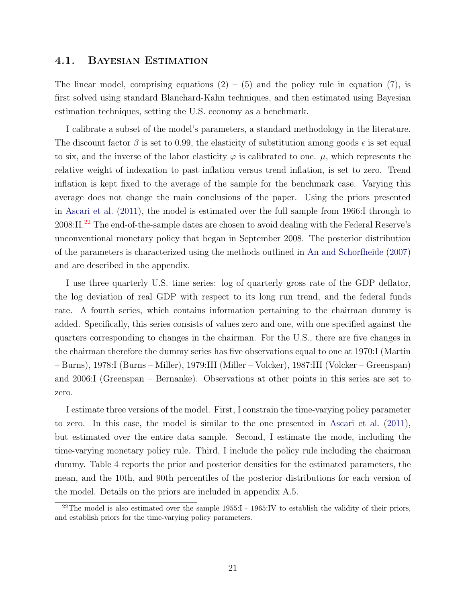#### 4.1. Bayesian Estimation

The linear model, comprising equations  $(2) - (5)$  and the policy rule in equation (7), is first solved using standard Blanchard-Kahn techniques, and then estimated using Bayesian estimation techniques, setting the U.S. economy as a benchmark.

I calibrate a subset of the model's parameters, a standard methodology in the literature. The discount factor  $\beta$  is set to 0.99, the elasticity of substitution among goods  $\epsilon$  is set equal to six, and the inverse of the labor elasticity  $\varphi$  is calibrated to one.  $\mu$ , which represents the relative weight of indexation to past inflation versus trend inflation, is set to zero. Trend inflation is kept fixed to the average of the sample for the benchmark case. Varying this average does not change the main conclusions of the paper. Using the priors presented in Ascari et al. (2011), the model is estimated over the full sample from 1966:I through to 2008:II.<sup>22</sup> The end-of-the-sample dates are chosen to avoid dealing with the Federal Reserve's unconventional monetary policy that began in September 2008. The posterior distribution of the parameters is characterized using the methods outlined in An and Schorfheide (2007) and are described in the appendix.

I use three quarterly U.S. time series: log of quarterly gross rate of the GDP deflator, the log deviation of real GDP with respect to its long run trend, and the federal funds rate. A fourth series, which contains information pertaining to the chairman dummy is added. Specifically, this series consists of values zero and one, with one specified against the quarters corresponding to changes in the chairman. For the U.S., there are five changes in the chairman therefore the dummy series has five observations equal to one at 1970:I (Martin – Burns), 1978:I (Burns – Miller), 1979:III (Miller – Volcker), 1987:III (Volcker – Greenspan) and 2006:I (Greenspan – Bernanke). Observations at other points in this series are set to zero.

I estimate three versions of the model. First, I constrain the time-varying policy parameter to zero. In this case, the model is similar to the one presented in Ascari et al. (2011), but estimated over the entire data sample. Second, I estimate the mode, including the time-varying monetary policy rule. Third, I include the policy rule including the chairman dummy. Table 4 reports the prior and posterior densities for the estimated parameters, the mean, and the 10th, and 90th percentiles of the posterior distributions for each version of the model. Details on the priors are included in appendix A.5.

<sup>&</sup>lt;sup>22</sup>The model is also estimated over the sample 1955:I - 1965:IV to establish the validity of their priors, and establish priors for the time-varying policy parameters.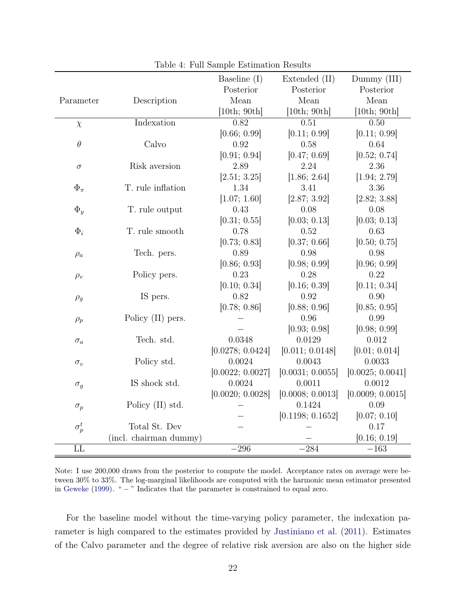|                        |                        | Baseline $(I)$   | Extended (II)    | Dummy (III)      |
|------------------------|------------------------|------------------|------------------|------------------|
|                        |                        | Posterior        | Posterior        | Posterior        |
| Parameter              | Description            | Mean             | Mean             | Mean             |
|                        |                        | [10th; 90th]     | [10th; 90th]     | [10th; 90th]     |
| $\chi$                 | Indexation             | 0.82             | 0.51             | 0.50             |
|                        |                        | [0.66; 0.99]     | [0.11; 0.99]     | [0.11; 0.99]     |
| $\theta$               | Calvo                  | 0.92             | 0.58             | 0.64             |
|                        |                        | [0.91; 0.94]     | [0.47; 0.69]     | [0.52; 0.74]     |
| $\sigma$               | Risk aversion          | 2.89             | 2.24             | 2.36             |
|                        |                        | [2.51; 3.25]     | [1.86; 2.64]     | [1.94; 2.79]     |
| $\Phi_\pi$             | T. rule inflation      | 1.34             | 3.41             | 3.36             |
|                        |                        | [1.07; 1.60]     | [2.87; 3.92]     | [2.82; 3.88]     |
| $\Phi_y$               | T. rule output         | 0.43             | 0.08             | 0.08             |
|                        |                        | [0.31; 0.55]     | [0.03; 0.13]     | [0.03; 0.13]     |
| $\Phi_i$               | T. rule smooth         | 0.78             | 0.52             | 0.63             |
|                        |                        | [0.73; 0.83]     | [0.37; 0.66]     | [0.50; 0.75]     |
| $\rho_a$               | Tech. pers.            | 0.89             | 0.98             | 0.98             |
|                        |                        | [0.86; 0.93]     | [0.98; 0.99]     | [0.96; 0.99]     |
| $\rho_v$               | Policy pers.           | 0.23             | 0.28             | 0.22             |
|                        |                        | [0.10; 0.34]     | [0.16; 0.39]     | [0.11; 0.34]     |
| $\rho_g$               | IS pers.               | 0.82             | 0.92             | 0.90             |
|                        |                        | [0.78; 0.86]     | [0.88; 0.96]     | [0.85; 0.95]     |
| $\rho_p$               | Policy (II) pers.      |                  | 0.96             | 0.99             |
|                        |                        |                  | [0.93; 0.98]     | [0.98; 0.99]     |
| $\sigma_a$             | Tech. std.             | 0.0348           | 0.0129           | 0.012            |
|                        |                        | [0.0278; 0.0424] | [0.011; 0.0148]  | [0.01; 0.014]    |
| $\sigma_v$             | Policy std.            | 0.0024           | 0.0043           | 0.0033           |
|                        |                        | [0.0022; 0.0027] | [0.0031; 0.0055] | [0.0025; 0.0041] |
| $\sigma_g$             | IS shock std.          | 0.0024           | 0.0011           | 0.0012           |
|                        |                        | [0.0020; 0.0028] | [0.0008; 0.0013] | [0.0009; 0.0015] |
| $\sigma_p$             | Policy (II) std.       |                  | 0.1424           | 0.09             |
|                        |                        |                  | [0.1198; 0.1652] | [0.07; 0.10]     |
| $\sigma_p^t$           | Total St. Dev          |                  |                  | 0.17             |
|                        | (incl. chairman dummy) |                  |                  | [0.16; 0.19]     |
| $\overline{\text{LL}}$ |                        | $-296\,$         | $-284$           | $-163$           |

Table 4: Full Sample Estimation Results

Note: I use 200,000 draws from the posterior to compute the model. Acceptance rates on average were between 30% to 33%. The log-marginal likelihoods are computed with the harmonic mean estimator presented in Geweke (1999). " − " Indicates that the parameter is constrained to equal zero.

For the baseline model without the time-varying policy parameter, the indexation parameter is high compared to the estimates provided by Justiniano et al. (2011). Estimates of the Calvo parameter and the degree of relative risk aversion are also on the higher side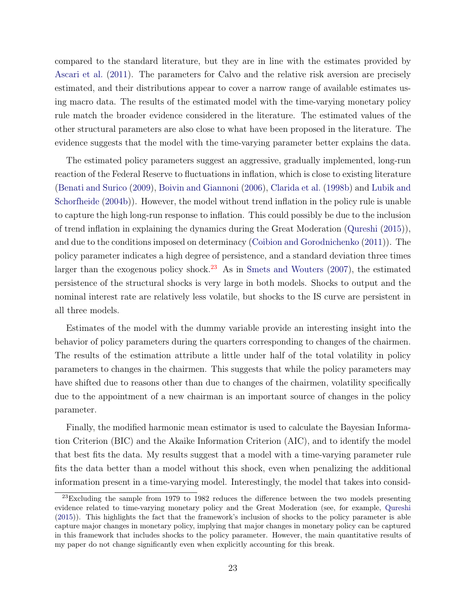compared to the standard literature, but they are in line with the estimates provided by Ascari et al. (2011). The parameters for Calvo and the relative risk aversion are precisely estimated, and their distributions appear to cover a narrow range of available estimates using macro data. The results of the estimated model with the time-varying monetary policy rule match the broader evidence considered in the literature. The estimated values of the other structural parameters are also close to what have been proposed in the literature. The evidence suggests that the model with the time-varying parameter better explains the data.

The estimated policy parameters suggest an aggressive, gradually implemented, long-run reaction of the Federal Reserve to fluctuations in inflation, which is close to existing literature (Benati and Surico (2009), Boivin and Giannoni (2006), Clarida et al. (1998b) and Lubik and Schorfheide (2004b)). However, the model without trend inflation in the policy rule is unable to capture the high long-run response to inflation. This could possibly be due to the inclusion of trend inflation in explaining the dynamics during the Great Moderation (Qureshi (2015)), and due to the conditions imposed on determinacy (Coibion and Gorodnichenko (2011)). The policy parameter indicates a high degree of persistence, and a standard deviation three times larger than the exogenous policy shock.<sup>23</sup> As in Smets and Wouters  $(2007)$ , the estimated persistence of the structural shocks is very large in both models. Shocks to output and the nominal interest rate are relatively less volatile, but shocks to the IS curve are persistent in all three models.

Estimates of the model with the dummy variable provide an interesting insight into the behavior of policy parameters during the quarters corresponding to changes of the chairmen. The results of the estimation attribute a little under half of the total volatility in policy parameters to changes in the chairmen. This suggests that while the policy parameters may have shifted due to reasons other than due to changes of the chairmen, volatility specifically due to the appointment of a new chairman is an important source of changes in the policy parameter.

Finally, the modified harmonic mean estimator is used to calculate the Bayesian Information Criterion (BIC) and the Akaike Information Criterion (AIC), and to identify the model that best fits the data. My results suggest that a model with a time-varying parameter rule fits the data better than a model without this shock, even when penalizing the additional information present in a time-varying model. Interestingly, the model that takes into consid-

 $^{23}$ Excluding the sample from 1979 to 1982 reduces the difference between the two models presenting evidence related to time-varying monetary policy and the Great Moderation (see, for example, Qureshi (2015)). This highlights the fact that the framework's inclusion of shocks to the policy parameter is able capture major changes in monetary policy, implying that major changes in monetary policy can be captured in this framework that includes shocks to the policy parameter. However, the main quantitative results of my paper do not change significantly even when explicitly accounting for this break.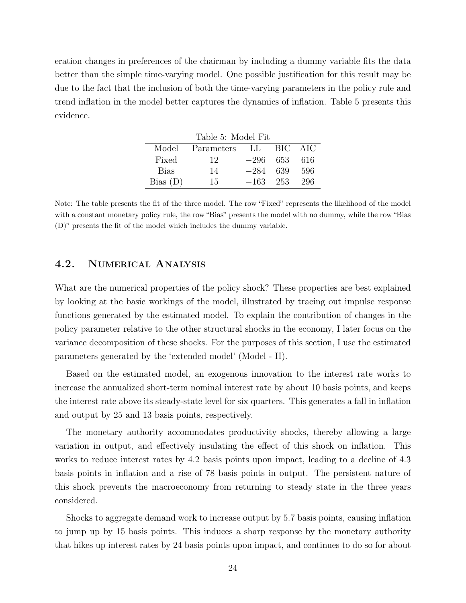eration changes in preferences of the chairman by including a dummy variable fits the data better than the simple time-varying model. One possible justification for this result may be due to the fact that the inclusion of both the time-varying parameters in the policy rule and trend inflation in the model better captures the dynamics of inflation. Table 5 presents this evidence.

| Table 5: Model Fit |               |            |         |       |  |  |  |  |  |  |
|--------------------|---------------|------------|---------|-------|--|--|--|--|--|--|
| Model              | Parameters LL |            | BIC AIC |       |  |  |  |  |  |  |
| Fixed              | 12            | $-296$ 653 |         | - 616 |  |  |  |  |  |  |
| <b>Bias</b>        | 14            | $-284$     | - 639   | 596   |  |  |  |  |  |  |
| Bias(D)            | 15            | $-163$ 253 |         | 296   |  |  |  |  |  |  |

Note: The table presents the fit of the three model. The row "Fixed" represents the likelihood of the model with a constant monetary policy rule, the row "Bias" presents the model with no dummy, while the row "Bias" (D)" presents the fit of the model which includes the dummy variable.

### 4.2. Numerical Analysis

What are the numerical properties of the policy shock? These properties are best explained by looking at the basic workings of the model, illustrated by tracing out impulse response functions generated by the estimated model. To explain the contribution of changes in the policy parameter relative to the other structural shocks in the economy, I later focus on the variance decomposition of these shocks. For the purposes of this section, I use the estimated parameters generated by the 'extended model' (Model - II).

Based on the estimated model, an exogenous innovation to the interest rate works to increase the annualized short-term nominal interest rate by about 10 basis points, and keeps the interest rate above its steady-state level for six quarters. This generates a fall in inflation and output by 25 and 13 basis points, respectively.

The monetary authority accommodates productivity shocks, thereby allowing a large variation in output, and effectively insulating the effect of this shock on inflation. This works to reduce interest rates by 4.2 basis points upon impact, leading to a decline of 4.3 basis points in inflation and a rise of 78 basis points in output. The persistent nature of this shock prevents the macroeconomy from returning to steady state in the three years considered.

Shocks to aggregate demand work to increase output by 5.7 basis points, causing inflation to jump up by 15 basis points. This induces a sharp response by the monetary authority that hikes up interest rates by 24 basis points upon impact, and continues to do so for about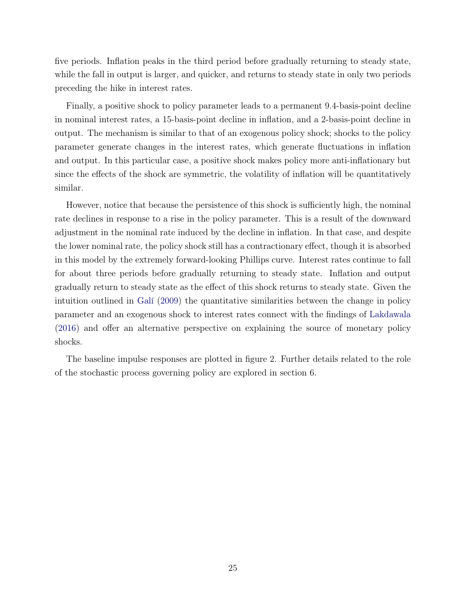five periods. Inflation peaks in the third period before gradually returning to steady state, while the fall in output is larger, and quicker, and returns to steady state in only two periods preceding the hike in interest rates.

Finally, a positive shock to policy parameter leads to a permanent 9.4-basis-point decline in nominal interest rates, a 15-basis-point decline in inflation, and a 2-basis-point decline in output. The mechanism is similar to that of an exogenous policy shock; shocks to the policy parameter generate changes in the interest rates, which generate fluctuations in inflation and output. In this particular case, a positive shock makes policy more anti-inflationary but since the effects of the shock are symmetric, the volatility of inflation will be quantitatively similar.

However, notice that because the persistence of this shock is sufficiently high, the nominal rate declines in response to a rise in the policy parameter. This is a result of the downward adjustment in the nominal rate induced by the decline in inflation. In that case, and despite the lower nominal rate, the policy shock still has a contractionary effect, though it is absorbed in this model by the extremely forward-looking Phillips curve. Interest rates continue to fall for about three periods before gradually returning to steady state. Inflation and output gradually return to steady state as the effect of this shock returns to steady state. Given the intuition outlined in Galí (2009) the quantitative similarities between the change in policy parameter and an exogenous shock to interest rates connect with the findings of Lakdawala (2016) and offer an alternative perspective on explaining the source of monetary policy shocks.

The baseline impulse responses are plotted in figure 2. Further details related to the role of the stochastic process governing policy are explored in section 6.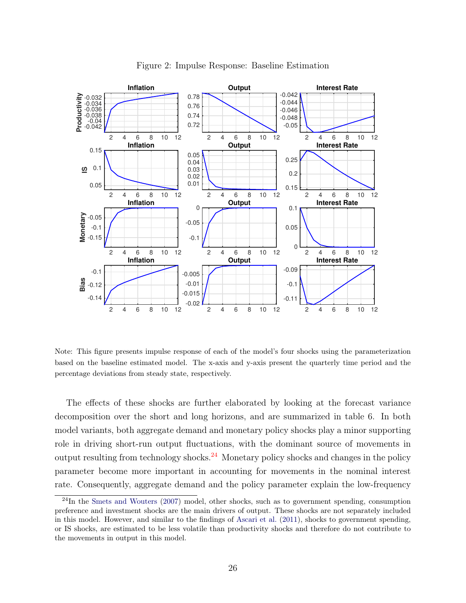

Figure 2: Impulse Response: Baseline Estimation

Note: This figure presents impulse response of each of the model's four shocks using the parameterization based on the baseline estimated model. The x-axis and y-axis present the quarterly time period and the percentage deviations from steady state, respectively.

The effects of these shocks are further elaborated by looking at the forecast variance decomposition over the short and long horizons, and are summarized in table 6. In both model variants, both aggregate demand and monetary policy shocks play a minor supporting role in driving short-run output fluctuations, with the dominant source of movements in output resulting from technology shocks.<sup>24</sup> Monetary policy shocks and changes in the policy parameter become more important in accounting for movements in the nominal interest rate. Consequently, aggregate demand and the policy parameter explain the low-frequency

 $^{24}$ In the Smets and Wouters (2007) model, other shocks, such as to government spending, consumption preference and investment shocks are the main drivers of output. These shocks are not separately included in this model. However, and similar to the findings of Ascari et al. (2011), shocks to government spending, or IS shocks, are estimated to be less volatile than productivity shocks and therefore do not contribute to the movements in output in this model.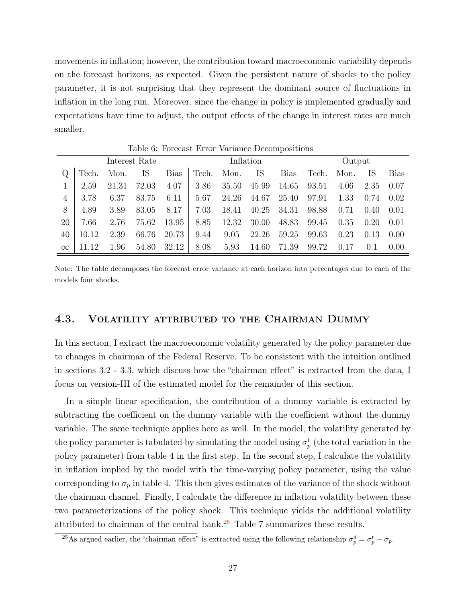movements in inflation; however, the contribution toward macroeconomic variability depends on the forecast horizons, as expected. Given the persistent nature of shocks to the policy parameter, it is not surprising that they represent the dominant source of fluctuations in inflation in the long run. Moreover, since the change in policy is implemented gradually and expectations have time to adjust, the output effects of the change in interest rates are much smaller.

| Interest Rate |       |       |       |             |          |       | Inflation |             | Output |      |      |      |  |
|---------------|-------|-------|-------|-------------|----------|-------|-----------|-------------|--------|------|------|------|--|
| Q             | Tech. | Mon.  | IS    | <b>Bias</b> | Tech.    | Mon.  | IS        | <b>Bias</b> | Tech.  | Mon. | IS   | Bias |  |
| 1             | 2.59  | 21.31 | 72.03 | 4.07        | 3.86     | 35.50 | 45.99     | 14.65       | 93.51  | 4.06 | 2.35 | 0.07 |  |
| 4             | 3.78  | 6.37  | 83.75 | 6.11        | 5.67     | 24.26 | 44.67     | 25.40       | 97.91  | 1.33 | 0.74 | 0.02 |  |
| 8             | 4.89  | 3.89  | 83.05 | 8.17        | $7.03\,$ | 18.41 | 40.25     | 34.31       | 98.88  | 0.71 | 0.40 | 0.01 |  |
| 20            | 7.66  | 2.76  | 75.62 | 13.95       | 8.85     | 12.32 | 30.00     | 48.83       | 99.45  | 0.35 | 0.20 | 0.01 |  |
| 40            | 10.12 | 2.39  | 66.76 | 20.73       | 9.44     | 9.05  | 22.26     | 59.25       | 99.63  | 0.23 | 0.13 | 0.00 |  |
| $\infty$      | 11 12 | 1.96  | 54.80 | 32.12       | 8.08     | 5.93  | 14.60     | 71.39       | 99.72  | 0.17 | 0.1  | 0.00 |  |

Table 6: Forecast Error Variance Decompositions

Note: The table decomposes the forecast error variance at each horizon into percentages due to each of the models four shocks.

#### 4.3. Volatility attributed to the Chairman Dummy

In this section, I extract the macroeconomic volatility generated by the policy parameter due to changes in chairman of the Federal Reserve. To be consistent with the intuition outlined in sections 3.2 - 3.3, which discuss how the "chairman effect" is extracted from the data, I focus on version-III of the estimated model for the remainder of this section.

In a simple linear specification, the contribution of a dummy variable is extracted by subtracting the coefficient on the dummy variable with the coefficient without the dummy variable. The same technique applies here as well. In the model, the volatility generated by the policy parameter is tabulated by simulating the model using  $\sigma_p^t$  (the total variation in the policy parameter) from table 4 in the first step. In the second step, I calculate the volatility in inflation implied by the model with the time-varying policy parameter, using the value corresponding to  $\sigma_p$  in table 4. This then gives estimates of the variance of the shock without the chairman channel. Finally, I calculate the difference in inflation volatility between these two parameterizations of the policy shock. This technique yields the additional volatility attributed to chairman of the central bank. $25$  Table 7 summarizes these results.

<sup>&</sup>lt;sup>25</sup>As argued earlier, the "chairman effect" is extracted using the following relationship  $\sigma_p^d = \sigma_p^t - \sigma_p$ .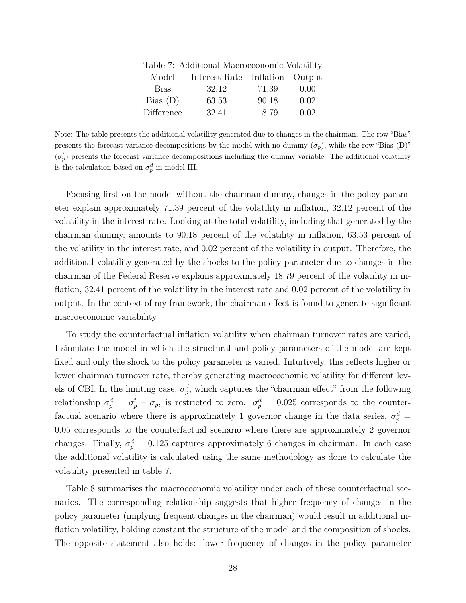| Interest Rate Inflation Output<br>Model | Table <i>1</i> . Additional macroeconomic volatility |  |  |  |  |  |  |  |  |  |  |
|-----------------------------------------|------------------------------------------------------|--|--|--|--|--|--|--|--|--|--|
|                                         |                                                      |  |  |  |  |  |  |  |  |  |  |
| 32.12<br>71.39<br><b>Bias</b>           | 0.00                                                 |  |  |  |  |  |  |  |  |  |  |
| Bias(D)<br>90.18<br>63.53               | 0.02                                                 |  |  |  |  |  |  |  |  |  |  |
| Difference<br>32.41<br>18.79            | 0.02                                                 |  |  |  |  |  |  |  |  |  |  |

Table 7: Additional Macroeconomic Volatility

Note: The table presents the additional volatility generated due to changes in the chairman. The row "Bias" presents the forecast variance decompositions by the model with no dummy  $(\sigma_p)$ , while the row "Bias (D)"  $(\sigma_p^t)$  presents the forecast variance decompositions including the dummy variable. The additional volatility is the calculation based on  $\sigma_p^d$  in model-III.

Focusing first on the model without the chairman dummy, changes in the policy parameter explain approximately 71.39 percent of the volatility in inflation, 32.12 percent of the volatility in the interest rate. Looking at the total volatility, including that generated by the chairman dummy, amounts to 90.18 percent of the volatility in inflation, 63.53 percent of the volatility in the interest rate, and 0.02 percent of the volatility in output. Therefore, the additional volatility generated by the shocks to the policy parameter due to changes in the chairman of the Federal Reserve explains approximately 18.79 percent of the volatility in inflation, 32.41 percent of the volatility in the interest rate and 0.02 percent of the volatility in output. In the context of my framework, the chairman effect is found to generate significant macroeconomic variability.

To study the counterfactual inflation volatility when chairman turnover rates are varied, I simulate the model in which the structural and policy parameters of the model are kept fixed and only the shock to the policy parameter is varied. Intuitively, this reflects higher or lower chairman turnover rate, thereby generating macroeconomic volatility for different levels of CBI. In the limiting case,  $\sigma_p^d$ , which captures the "chairman effect" from the following relationship  $\sigma_p^d = \sigma_p^t - \sigma_p$ , is restricted to zero.  $\sigma_p^d = 0.025$  corresponds to the counterfactual scenario where there is approximately 1 governor change in the data series,  $\sigma_p^d$  = 0.05 corresponds to the counterfactual scenario where there are approximately 2 governor changes. Finally,  $\sigma_p^d = 0.125$  captures approximately 6 changes in chairman. In each case the additional volatility is calculated using the same methodology as done to calculate the volatility presented in table 7.

Table 8 summarises the macroeconomic volatility under each of these counterfactual scenarios. The corresponding relationship suggests that higher frequency of changes in the policy parameter (implying frequent changes in the chairman) would result in additional inflation volatility, holding constant the structure of the model and the composition of shocks. The opposite statement also holds: lower frequency of changes in the policy parameter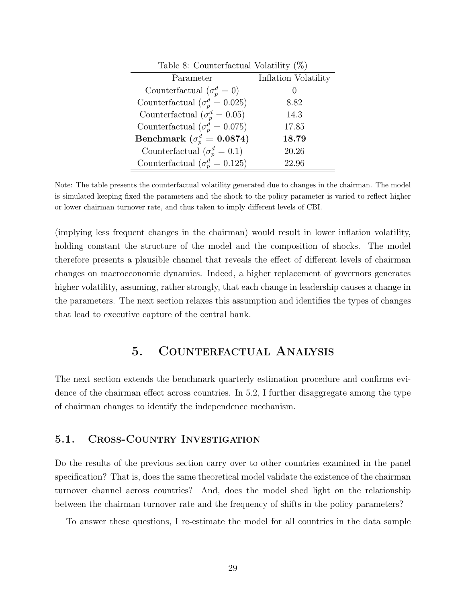| Table 8: Counterfactual Volatility $(\%)$ |                      |
|-------------------------------------------|----------------------|
| Parameter                                 | Inflation Volatility |
| Counterfactual $(\sigma_p^d = 0)$         |                      |
| Counterfactual $(\sigma_p^d = 0.025)$     | 8.82                 |
| Counterfactual ( $\sigma_p^d = 0.05$ )    | 14.3                 |
| Counterfactual ( $\sigma_p^d = 0.075$ )   | 17.85                |
| Benchmark ( $\sigma_p^d = 0.0874$ )       | 18.79                |
| Counterfactual $(\sigma_p^d = 0.1)$       | 20.26                |
| Counterfactual $(\sigma_n^d = 0.125)$     | 22.96                |

Note: The table presents the counterfactual volatility generated due to changes in the chairman. The model is simulated keeping fixed the parameters and the shock to the policy parameter is varied to reflect higher or lower chairman turnover rate, and thus taken to imply different levels of CBI.

(implying less frequent changes in the chairman) would result in lower inflation volatility, holding constant the structure of the model and the composition of shocks. The model therefore presents a plausible channel that reveals the effect of different levels of chairman changes on macroeconomic dynamics. Indeed, a higher replacement of governors generates higher volatility, assuming, rather strongly, that each change in leadership causes a change in the parameters. The next section relaxes this assumption and identifies the types of changes that lead to executive capture of the central bank.

### 5. Counterfactual Analysis

The next section extends the benchmark quarterly estimation procedure and confirms evidence of the chairman effect across countries. In 5.2, I further disaggregate among the type of chairman changes to identify the independence mechanism.

#### 5.1. Cross-Country Investigation

Do the results of the previous section carry over to other countries examined in the panel specification? That is, does the same theoretical model validate the existence of the chairman turnover channel across countries? And, does the model shed light on the relationship between the chairman turnover rate and the frequency of shifts in the policy parameters?

To answer these questions, I re-estimate the model for all countries in the data sample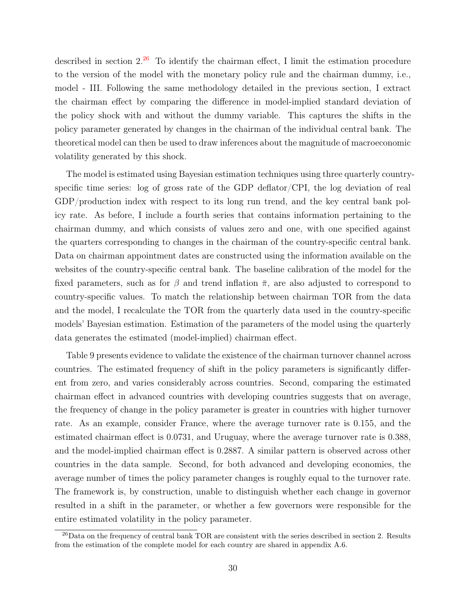described in section  $2^{26}$  To identify the chairman effect, I limit the estimation procedure to the version of the model with the monetary policy rule and the chairman dummy, i.e., model - III. Following the same methodology detailed in the previous section, I extract the chairman effect by comparing the difference in model-implied standard deviation of the policy shock with and without the dummy variable. This captures the shifts in the policy parameter generated by changes in the chairman of the individual central bank. The theoretical model can then be used to draw inferences about the magnitude of macroeconomic volatility generated by this shock.

The model is estimated using Bayesian estimation techniques using three quarterly countryspecific time series: log of gross rate of the GDP deflator/CPI, the log deviation of real GDP/production index with respect to its long run trend, and the key central bank policy rate. As before, I include a fourth series that contains information pertaining to the chairman dummy, and which consists of values zero and one, with one specified against the quarters corresponding to changes in the chairman of the country-specific central bank. Data on chairman appointment dates are constructed using the information available on the websites of the country-specific central bank. The baseline calibration of the model for the fixed parameters, such as for  $\beta$  and trend inflation  $\bar{\pi}$ , are also adjusted to correspond to country-specific values. To match the relationship between chairman TOR from the data and the model, I recalculate the TOR from the quarterly data used in the country-specific models' Bayesian estimation. Estimation of the parameters of the model using the quarterly data generates the estimated (model-implied) chairman effect.

Table 9 presents evidence to validate the existence of the chairman turnover channel across countries. The estimated frequency of shift in the policy parameters is significantly different from zero, and varies considerably across countries. Second, comparing the estimated chairman effect in advanced countries with developing countries suggests that on average, the frequency of change in the policy parameter is greater in countries with higher turnover rate. As an example, consider France, where the average turnover rate is 0.155, and the estimated chairman effect is 0.0731, and Uruguay, where the average turnover rate is 0.388, and the model-implied chairman effect is 0.2887. A similar pattern is observed across other countries in the data sample. Second, for both advanced and developing economies, the average number of times the policy parameter changes is roughly equal to the turnover rate. The framework is, by construction, unable to distinguish whether each change in governor resulted in a shift in the parameter, or whether a few governors were responsible for the entire estimated volatility in the policy parameter.

 $^{26}$ Data on the frequency of central bank TOR are consistent with the series described in section 2. Results from the estimation of the complete model for each country are shared in appendix A.6.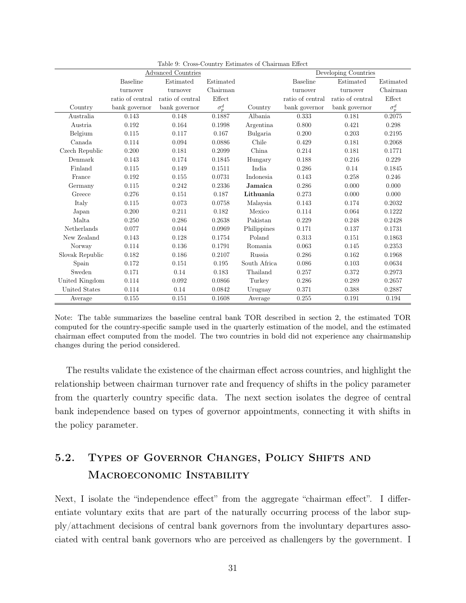| <b>Advanced Countries</b> |                  |                  |              |              | Developing Countries |                  |              |  |  |
|---------------------------|------------------|------------------|--------------|--------------|----------------------|------------------|--------------|--|--|
|                           | <b>Baseline</b>  | Estimated        | Estimated    |              | <b>Baseline</b>      | Estimated        | Estimated    |  |  |
|                           | turnover         | turnover         | Chairman     |              | turnover             | turnover         | Chairman     |  |  |
|                           | ratio of central | ratio of central | Effect       |              | ratio of central     | ratio of central | Effect       |  |  |
| Country                   | bank governor    | bank governor    | $\sigma_p^d$ | Country      | bank governor        | bank governor    | $\sigma_p^d$ |  |  |
| Australia                 | 0.143            | 0.148            | 0.1887       | Albania      | 0.333                | 0.181            | 0.2075       |  |  |
| Austria                   | 0.192            | 0.164            | 0.1998       | Argentina    | 0.800                | 0.421            | 0.298        |  |  |
| Belgium                   | 0.115            | 0.117            | 0.167        | Bulgaria     | 0.200                | 0.203            | 0.2195       |  |  |
| Canada                    | 0.114            | 0.094            | 0.0886       | Chile        | 0.429                | 0.181            | 0.2068       |  |  |
| Czech Republic            | 0.200            | 0.181            | 0.2099       | China        | 0.214                | 0.181            | 0.1771       |  |  |
| Denmark                   | 0.143            | 0.174            | 0.1845       | Hungary      | 0.188                | 0.216            | 0.229        |  |  |
| Finland                   | 0.115            | 0.149            | 0.1511       | India.       | 0.286                | 0.14             | 0.1845       |  |  |
| France                    | 0.192            | 0.155            | 0.0731       | Indonesia    | 0.143                | 0.258            | 0.246        |  |  |
| Germany                   | 0.115            | 0.242            | 0.2336       | Jamaica      | 0.286                | 0.000            | 0.000        |  |  |
| Greece                    | 0.276            | 0.151            | 0.187        | Lithuania    | 0.273                | 0.000            | 0.000        |  |  |
| Italy                     | 0.115            | 0.073            | 0.0758       | Malaysia     | 0.143                | 0.174            | 0.2032       |  |  |
| Japan                     | 0.200            | 0.211            | 0.182        | Mexico       | 0.114                | 0.064            | 0.1222       |  |  |
| Malta                     | 0.250            | 0.286            | 0.2638       | Pakistan     | 0.229                | 0.248            | 0.2428       |  |  |
| Netherlands               | 0.077            | 0.044            | 0.0969       | Philippines  | 0.171                | 0.137            | 0.1731       |  |  |
| New Zealand               | 0.143            | 0.128            | 0.1754       | Poland       | 0.313                | 0.151            | 0.1863       |  |  |
| Norway                    | 0.114            | 0.136            | 0.1791       | Romania      | 0.063                | 0.145            | 0.2353       |  |  |
| Slovak Republic           | 0.182            | 0.186            | 0.2107       | Russia       | 0.286                | 0.162            | 0.1968       |  |  |
| Spain                     | 0.172            | 0.151            | 0.195        | South Africa | 0.086                | 0.103            | 0.0634       |  |  |
| Sweden                    | 0.171            | 0.14             | 0.183        | Thailand     | 0.257                | 0.372            | 0.2973       |  |  |
| United Kingdom            | 0.114            | 0.092            | 0.0866       | Turkey       | 0.286                | 0.289            | 0.2657       |  |  |
| United States             | 0.114            | 0.14             | 0.0842       | Uruguay      | 0.371                | 0.388            | 0.2887       |  |  |
| Average                   | 0.155            | 0.151            | 0.1608       | Average      | 0.255                | 0.191            | 0.194        |  |  |

Table 9: Cross-Country Estimates of Chairman Effect

Note: The table summarizes the baseline central bank TOR described in section 2, the estimated TOR computed for the country-specific sample used in the quarterly estimation of the model, and the estimated chairman effect computed from the model. The two countries in bold did not experience any chairmanship changes during the period considered.

The results validate the existence of the chairman effect across countries, and highlight the relationship between chairman turnover rate and frequency of shifts in the policy parameter from the quarterly country specific data. The next section isolates the degree of central bank independence based on types of governor appointments, connecting it with shifts in the policy parameter.

# 5.2. Types of Governor Changes, Policy Shifts and Macroeconomic Instability

Next, I isolate the "independence effect" from the aggregate "chairman effect". I differentiate voluntary exits that are part of the naturally occurring process of the labor supply/attachment decisions of central bank governors from the involuntary departures associated with central bank governors who are perceived as challengers by the government. I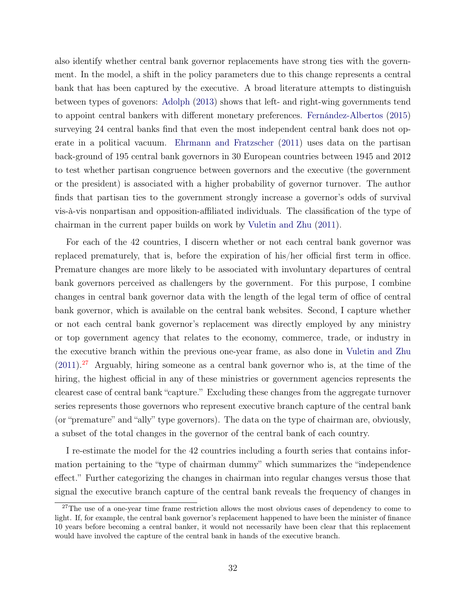also identify whether central bank governor replacements have strong ties with the government. In the model, a shift in the policy parameters due to this change represents a central bank that has been captured by the executive. A broad literature attempts to distinguish between types of govenors: Adolph (2013) shows that left- and right-wing governments tend to appoint central bankers with different monetary preferences. Fernández-Albertos (2015) surveying 24 central banks find that even the most independent central bank does not operate in a political vacuum. Ehrmann and Fratzscher (2011) uses data on the partisan back-ground of 195 central bank governors in 30 European countries between 1945 and 2012 to test whether partisan congruence between governors and the executive (the government or the president) is associated with a higher probability of governor turnover. The author finds that partisan ties to the government strongly increase a governor's odds of survival vis-à-vis nonpartisan and opposition-affiliated individuals. The classification of the type of chairman in the current paper builds on work by Vuletin and Zhu (2011).

For each of the 42 countries, I discern whether or not each central bank governor was replaced prematurely, that is, before the expiration of his/her official first term in office. Premature changes are more likely to be associated with involuntary departures of central bank governors perceived as challengers by the government. For this purpose, I combine changes in central bank governor data with the length of the legal term of office of central bank governor, which is available on the central bank websites. Second, I capture whether or not each central bank governor's replacement was directly employed by any ministry or top government agency that relates to the economy, commerce, trade, or industry in the executive branch within the previous one-year frame, as also done in Vuletin and Zhu  $(2011).^{27}$  Arguably, hiring someone as a central bank governor who is, at the time of the hiring, the highest official in any of these ministries or government agencies represents the clearest case of central bank "capture." Excluding these changes from the aggregate turnover series represents those governors who represent executive branch capture of the central bank (or "premature" and "ally" type governors). The data on the type of chairman are, obviously, a subset of the total changes in the governor of the central bank of each country.

I re-estimate the model for the 42 countries including a fourth series that contains information pertaining to the "type of chairman dummy" which summarizes the "independence effect." Further categorizing the changes in chairman into regular changes versus those that signal the executive branch capture of the central bank reveals the frequency of changes in

<sup>&</sup>lt;sup>27</sup>The use of a one-year time frame restriction allows the most obvious cases of dependency to come to light. If, for example, the central bank governor's replacement happened to have been the minister of finance 10 years before becoming a central banker, it would not necessarily have been clear that this replacement would have involved the capture of the central bank in hands of the executive branch.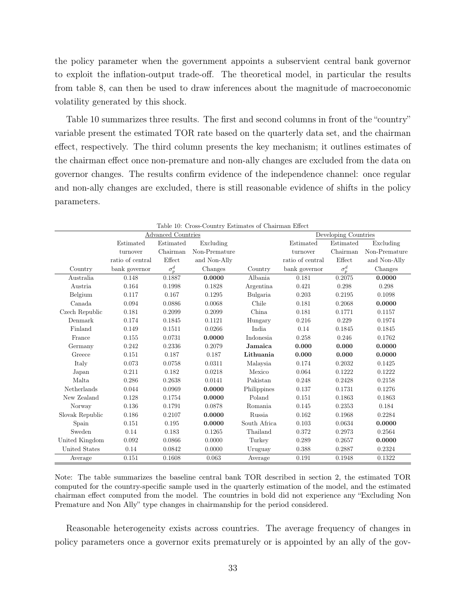the policy parameter when the government appoints a subservient central bank governor to exploit the inflation-output trade-off. The theoretical model, in particular the results from table 8, can then be used to draw inferences about the magnitude of macroeconomic volatility generated by this shock.

Table 10 summarizes three results. The first and second columns in front of the "country" variable present the estimated TOR rate based on the quarterly data set, and the chairman effect, respectively. The third column presents the key mechanism; it outlines estimates of the chairman effect once non-premature and non-ally changes are excluded from the data on governor changes. The results confirm evidence of the independence channel: once regular and non-ally changes are excluded, there is still reasonable evidence of shifts in the policy parameters.

|                 |                  |                           | Table IU: Cross-Country Estimates of Chairman Effect |              |                  |                      |               |
|-----------------|------------------|---------------------------|------------------------------------------------------|--------------|------------------|----------------------|---------------|
|                 |                  | <b>Advanced Countries</b> |                                                      |              |                  | Developing Countries |               |
|                 | Estimated        | Estimated                 | Excluding                                            |              | Estimated        | Estimated            | Excluding     |
|                 | turnover         | Chairman                  | Non-Premature                                        |              | turnover         | Chairman             | Non-Premature |
|                 | ratio of central | Effect                    | and Non-Ally                                         |              | ratio of central | Effect               | and Non-Ally  |
| Country         | bank governor    | $\sigma_p^d$              | Changes                                              | Country      | bank governor    | $\sigma_p^d$         | Changes       |
| Australia       | 0.148            | 0.1887                    | 0.0000                                               | Albania      | 0.181            | 0.2075               | 0.0000        |
| Austria         | 0.164            | 0.1998                    | 0.1828                                               | Argentina    | 0.421            | 0.298                | 0.298         |
| Belgium         | 0.117            | 0.167                     | 0.1295                                               | Bulgaria     | 0.203            | 0.2195               | 0.1098        |
| Canada          | 0.094            | 0.0886                    | 0.0068                                               | Chile        | 0.181            | 0.2068               | 0.0000        |
| Czech Republic  | 0.181            | 0.2099                    | 0.2099                                               | China        | 0.181            | 0.1771               | 0.1157        |
| Denmark         | 0.174            | 0.1845                    | 0.1121                                               | Hungary      | 0.216            | 0.229                | 0.1974        |
| Finland         | 0.149            | 0.1511                    | 0.0266                                               | India        | 0.14             | 0.1845               | 0.1845        |
| France          | 0.155            | 0.0731                    | 0.0000                                               | Indonesia    | 0.258            | 0.246                | 0.1762        |
| Germany         | 0.242            | 0.2336                    | 0.2079                                               | Jamaica      | 0.000            | 0.000                | 0.0000        |
| Greece          | 0.151            | 0.187                     | 0.187                                                | Lithuania    | 0.000            | 0.000                | 0.0000        |
| Italy           | 0.073            | 0.0758                    | 0.0311                                               | Malaysia     | 0.174            | 0.2032               | 0.1425        |
| Japan           | 0.211            | 0.182                     | 0.0218                                               | Mexico       | 0.064            | 0.1222               | 0.1222        |
| Malta.          | 0.286            | 0.2638                    | 0.0141                                               | Pakistan     | 0.248            | 0.2428               | 0.2158        |
| Netherlands     | 0.044            | 0.0969                    | 0.0000                                               | Philippines  | 0.137            | 0.1731               | 0.1276        |
| New Zealand     | 0.128            | 0.1754                    | 0.0000                                               | Poland       | 0.151            | 0.1863               | 0.1863        |
| Norway          | 0.136            | 0.1791                    | 0.0878                                               | Romania      | 0.145            | 0.2353               | 0.184         |
| Slovak Republic | 0.186            | 0.2107                    | 0.0000                                               | Russia       | 0.162            | 0.1968               | 0.2284        |
| Spain           | 0.151            | 0.195                     | 0.0000                                               | South Africa | 0.103            | 0.0634               | 0.0000        |
| Sweden          | 0.14             | 0.183                     | 0.1265                                               | Thailand     | 0.372            | 0.2973               | 0.2564        |
| United Kingdom  | 0.092            | 0.0866                    | 0.0000                                               | Turkey       | 0.289            | 0.2657               | 0.0000        |
| United States   | 0.14             | 0.0842                    | 0.0000                                               | Uruguay      | 0.388            | 0.2887               | 0.2324        |
| Average         | 0.151            | 0.1608                    | 0.063                                                | Average      | 0.191            | 0.1948               | 0.1322        |

Table 10: Cross-Country Estimates of Chairman Effect

Note: The table summarizes the baseline central bank TOR described in section 2, the estimated TOR computed for the country-specific sample used in the quarterly estimation of the model, and the estimated chairman effect computed from the model. The countries in bold did not experience any "Excluding Non Premature and Non Ally" type changes in chairmanship for the period considered.

Reasonable heterogeneity exists across countries. The average frequency of changes in policy parameters once a governor exits prematurely or is appointed by an ally of the gov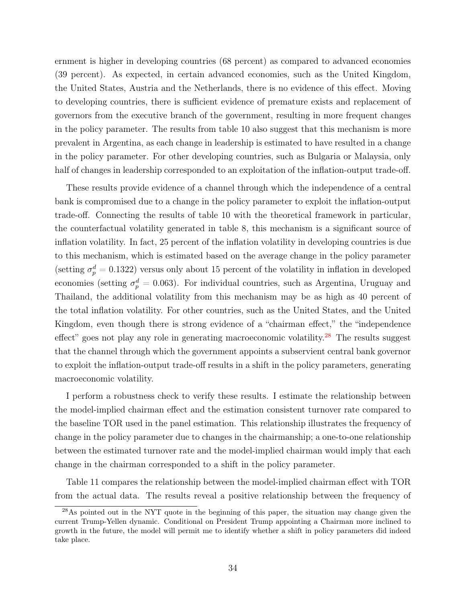ernment is higher in developing countries (68 percent) as compared to advanced economies (39 percent). As expected, in certain advanced economies, such as the United Kingdom, the United States, Austria and the Netherlands, there is no evidence of this effect. Moving to developing countries, there is sufficient evidence of premature exists and replacement of governors from the executive branch of the government, resulting in more frequent changes in the policy parameter. The results from table 10 also suggest that this mechanism is more prevalent in Argentina, as each change in leadership is estimated to have resulted in a change in the policy parameter. For other developing countries, such as Bulgaria or Malaysia, only half of changes in leadership corresponded to an exploitation of the inflation-output trade-off.

These results provide evidence of a channel through which the independence of a central bank is compromised due to a change in the policy parameter to exploit the inflation-output trade-off. Connecting the results of table 10 with the theoretical framework in particular, the counterfactual volatility generated in table 8, this mechanism is a significant source of inflation volatility. In fact, 25 percent of the inflation volatility in developing countries is due to this mechanism, which is estimated based on the average change in the policy parameter (setting  $\sigma_p^d = 0.1322$ ) versus only about 15 percent of the volatility in inflation in developed economies (setting  $\sigma_p^d = 0.063$ ). For individual countries, such as Argentina, Uruguay and Thailand, the additional volatility from this mechanism may be as high as 40 percent of the total inflation volatility. For other countries, such as the United States, and the United Kingdom, even though there is strong evidence of a "chairman effect," the "independence effect" goes not play any role in generating macroeconomic volatility.<sup>28</sup> The results suggest that the channel through which the government appoints a subservient central bank governor to exploit the inflation-output trade-off results in a shift in the policy parameters, generating macroeconomic volatility.

I perform a robustness check to verify these results. I estimate the relationship between the model-implied chairman effect and the estimation consistent turnover rate compared to the baseline TOR used in the panel estimation. This relationship illustrates the frequency of change in the policy parameter due to changes in the chairmanship; a one-to-one relationship between the estimated turnover rate and the model-implied chairman would imply that each change in the chairman corresponded to a shift in the policy parameter.

Table 11 compares the relationship between the model-implied chairman effect with TOR from the actual data. The results reveal a positive relationship between the frequency of

<sup>&</sup>lt;sup>28</sup>As pointed out in the NYT quote in the beginning of this paper, the situation may change given the current Trump-Yellen dynamic. Conditional on President Trump appointing a Chairman more inclined to growth in the future, the model will permit me to identify whether a shift in policy parameters did indeed take place.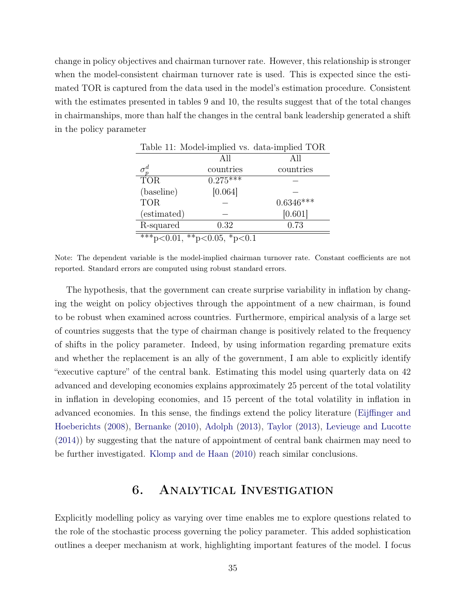change in policy objectives and chairman turnover rate. However, this relationship is stronger when the model-consistent chairman turnover rate is used. This is expected since the estimated TOR is captured from the data used in the model's estimation procedure. Consistent with the estimates presented in tables 9 and 10, the results suggest that of the total changes in chairmanships, more than half the changes in the central bank leadership generated a shift in the policy parameter

|             |                             | Table 11: Model-implied vs. data-implied TOR |
|-------------|-----------------------------|----------------------------------------------|
|             | All                         | All                                          |
|             | countries                   | countries                                    |
| <b>TOR</b>  | $0.275***$                  |                                              |
| (baseline)  | [0.064]                     |                                              |
| <b>TOR</b>  |                             | $0.6346***$                                  |
| (estimated) |                             | [0.601]                                      |
| R-squared   | 0.32                        | 0.73                                         |
|             | ***p<0.01, **p<0.05, *p<0.1 |                                              |

Note: The dependent variable is the model-implied chairman turnover rate. Constant coefficients are not reported. Standard errors are computed using robust standard errors.

The hypothesis, that the government can create surprise variability in inflation by changing the weight on policy objectives through the appointment of a new chairman, is found to be robust when examined across countries. Furthermore, empirical analysis of a large set of countries suggests that the type of chairman change is positively related to the frequency of shifts in the policy parameter. Indeed, by using information regarding premature exits and whether the replacement is an ally of the government, I am able to explicitly identify "executive capture" of the central bank. Estimating this model using quarterly data on 42 advanced and developing economies explains approximately 25 percent of the total volatility in inflation in developing economies, and 15 percent of the total volatility in inflation in advanced economies. In this sense, the findings extend the policy literature (Eijffinger and Hoeberichts (2008), Bernanke (2010), Adolph (2013), Taylor (2013), Levieuge and Lucotte (2014)) by suggesting that the nature of appointment of central bank chairmen may need to be further investigated. Klomp and de Haan (2010) reach similar conclusions.

## 6. Analytical Investigation

Explicitly modelling policy as varying over time enables me to explore questions related to the role of the stochastic process governing the policy parameter. This added sophistication outlines a deeper mechanism at work, highlighting important features of the model. I focus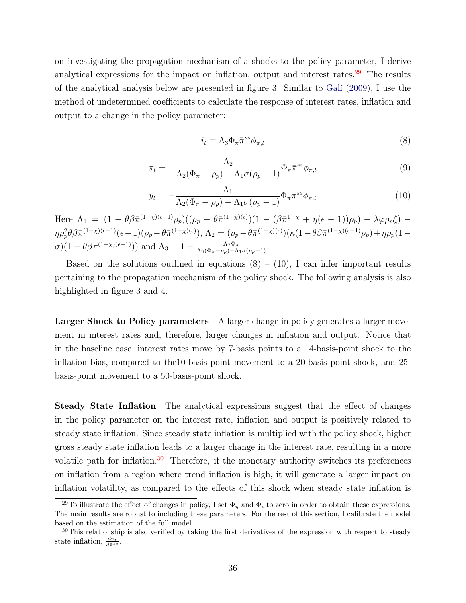on investigating the propagation mechanism of a shocks to the policy parameter, I derive analytical expressions for the impact on inflation, output and interest rates. $29$  The results of the analytical analysis below are presented in figure 3. Similar to Galí (2009), I use the method of undetermined coefficients to calculate the response of interest rates, inflation and output to a change in the policy parameter:

$$
i_t = \Lambda_3 \Phi_\pi \bar{\pi}^{ss} \phi_{\pi,t} \tag{8}
$$

$$
\pi_t = -\frac{\Lambda_2}{\Lambda_2(\Phi_\pi - \rho_p) - \Lambda_1 \sigma(\rho_p - 1)} \Phi_\pi \bar{\pi}^{ss} \phi_{\pi,t}
$$
\n(9)

$$
y_t = -\frac{\Lambda_1}{\Lambda_2(\Phi_\pi - \rho_p) - \Lambda_1 \sigma(\rho_p - 1)} \Phi_\pi \bar{\pi}^{ss} \phi_{\pi,t}
$$
(10)

Here  $\Lambda_1 = (1 - \theta \beta \bar{\pi}^{(1-\chi)(\epsilon-1)} \rho_p)((\rho_p - \theta \bar{\pi}^{(1-\chi)(\epsilon)})(1 - (\beta \bar{\pi}^{1-\chi} + \eta(\epsilon-1))\rho_p) - \lambda \varphi \rho_p \xi)$  $\eta \rho_p^2 \theta \beta \bar{\pi}^{(1-\chi)(\epsilon-1)}(\epsilon-1) (\rho_p - \theta \bar{\pi}^{(1-\chi)(\epsilon)}), \Lambda_2 = (\rho_p - \theta \bar{\pi}^{(1-\chi)(\epsilon)})(\kappa(1-\theta \beta \bar{\pi}^{(1-\chi)(\epsilon-1)}\rho_p) + \eta \rho_p (1-\theta \bar{\pi}^{(1-\chi)(\epsilon)})$  $\sigma(1-\theta)\bar{\pi}^{(1-\chi)(\epsilon-1)}$ ) and  $\Lambda_3=1+\frac{\Lambda_2\Phi_\pi}{\Lambda_2(\Phi_\pi-\rho_p)-\Lambda_1\sigma(\rho_p-1)}$ .

Based on the solutions outlined in equations  $(8) - (10)$ , I can infer important results pertaining to the propagation mechanism of the policy shock. The following analysis is also highlighted in figure 3 and 4.

Larger Shock to Policy parameters A larger change in policy generates a larger movement in interest rates and, therefore, larger changes in inflation and output. Notice that in the baseline case, interest rates move by 7-basis points to a 14-basis-point shock to the inflation bias, compared to the10-basis-point movement to a 20-basis point-shock, and 25 basis-point movement to a 50-basis-point shock.

Steady State Inflation The analytical expressions suggest that the effect of changes in the policy parameter on the interest rate, inflation and output is positively related to steady state inflation. Since steady state inflation is multiplied with the policy shock, higher gross steady state inflation leads to a larger change in the interest rate, resulting in a more volatile path for inflation.<sup>30</sup> Therefore, if the monetary authority switches its preferences on inflation from a region where trend inflation is high, it will generate a larger impact on inflation volatility, as compared to the effects of this shock when steady state inflation is

<sup>&</sup>lt;sup>29</sup>To illustrate the effect of changes in policy, I set  $\Phi_y$  and  $\Phi_i$  to zero in order to obtain these expressions. The main results are robust to including these parameters. For the rest of this section, I calibrate the model based on the estimation of the full model.

 $30$ This relationship is also verified by taking the first derivatives of the expression with respect to steady state inflation,  $\frac{d\pi_t}{d\bar{\pi}^{ss}}$ .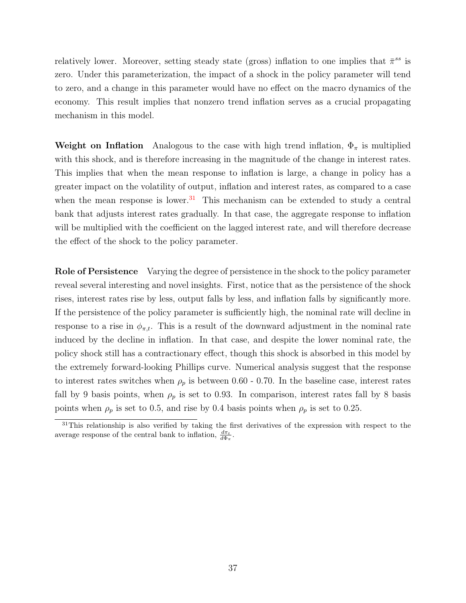relatively lower. Moreover, setting steady state (gross) inflation to one implies that  $\bar{\pi}^{ss}$  is zero. Under this parameterization, the impact of a shock in the policy parameter will tend to zero, and a change in this parameter would have no effect on the macro dynamics of the economy. This result implies that nonzero trend inflation serves as a crucial propagating mechanism in this model.

Weight on Inflation Analogous to the case with high trend inflation,  $\Phi_{\pi}$  is multiplied with this shock, and is therefore increasing in the magnitude of the change in interest rates. This implies that when the mean response to inflation is large, a change in policy has a greater impact on the volatility of output, inflation and interest rates, as compared to a case when the mean response is lower.<sup>31</sup> This mechanism can be extended to study a central bank that adjusts interest rates gradually. In that case, the aggregate response to inflation will be multiplied with the coefficient on the lagged interest rate, and will therefore decrease the effect of the shock to the policy parameter.

Role of Persistence Varying the degree of persistence in the shock to the policy parameter reveal several interesting and novel insights. First, notice that as the persistence of the shock rises, interest rates rise by less, output falls by less, and inflation falls by significantly more. If the persistence of the policy parameter is sufficiently high, the nominal rate will decline in response to a rise in  $\phi_{\pi,t}$ . This is a result of the downward adjustment in the nominal rate induced by the decline in inflation. In that case, and despite the lower nominal rate, the policy shock still has a contractionary effect, though this shock is absorbed in this model by the extremely forward-looking Phillips curve. Numerical analysis suggest that the response to interest rates switches when  $\rho_p$  is between 0.60 - 0.70. In the baseline case, interest rates fall by 9 basis points, when  $\rho_p$  is set to 0.93. In comparison, interest rates fall by 8 basis points when  $\rho_p$  is set to 0.5, and rise by 0.4 basis points when  $\rho_p$  is set to 0.25.

<sup>&</sup>lt;sup>31</sup>This relationship is also verified by taking the first derivatives of the expression with respect to the average response of the central bank to inflation,  $\frac{d\pi_t}{d\Phi_{\pi}}$ .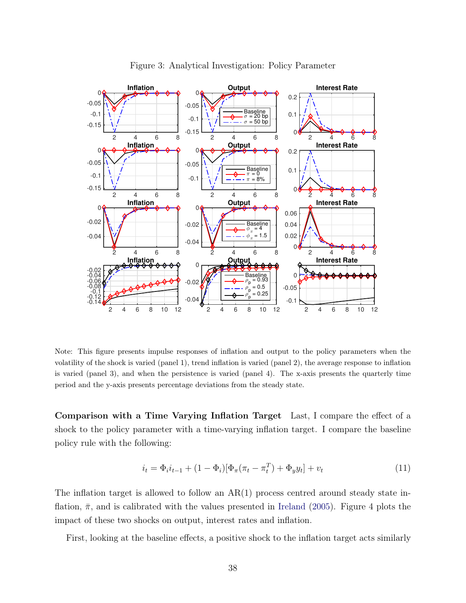

Figure 3: Analytical Investigation: Policy Parameter

Note: This figure presents impulse responses of inflation and output to the policy parameters when the volatility of the shock is varied (panel 1), trend inflation is varied (panel 2), the average response to inflation is varied (panel 3), and when the persistence is varied (panel 4). The x-axis presents the quarterly time period and the y-axis presents percentage deviations from the steady state.

Comparison with a Time Varying Inflation Target Last, I compare the effect of a shock to the policy parameter with a time-varying inflation target. I compare the baseline policy rule with the following:

$$
i_t = \Phi_i i_{t-1} + (1 - \Phi_i) [\Phi_\pi(\pi_t - \pi_t^T) + \Phi_y y_t] + v_t
$$
\n(11)

The inflation target is allowed to follow an  $AR(1)$  process centred around steady state inflation,  $\bar{\pi}$ , and is calibrated with the values presented in Ireland (2005). Figure 4 plots the impact of these two shocks on output, interest rates and inflation.

First, looking at the baseline effects, a positive shock to the inflation target acts similarly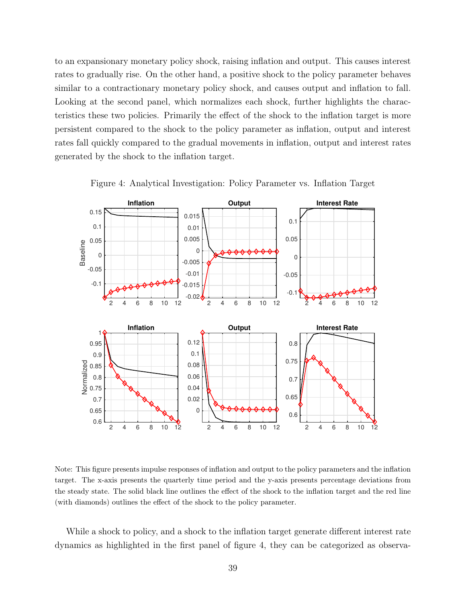to an expansionary monetary policy shock, raising inflation and output. This causes interest rates to gradually rise. On the other hand, a positive shock to the policy parameter behaves similar to a contractionary monetary policy shock, and causes output and inflation to fall. Looking at the second panel, which normalizes each shock, further highlights the characteristics these two policies. Primarily the effect of the shock to the inflation target is more persistent compared to the shock to the policy parameter as inflation, output and interest rates fall quickly compared to the gradual movements in inflation, output and interest rates generated by the shock to the inflation target.



Figure 4: Analytical Investigation: Policy Parameter vs. Inflation Target

Note: This figure presents impulse responses of inflation and output to the policy parameters and the inflation target. The x-axis presents the quarterly time period and the y-axis presents percentage deviations from the steady state. The solid black line outlines the effect of the shock to the inflation target and the red line (with diamonds) outlines the effect of the shock to the policy parameter.

While a shock to policy, and a shock to the inflation target generate different interest rate dynamics as highlighted in the first panel of figure 4, they can be categorized as observa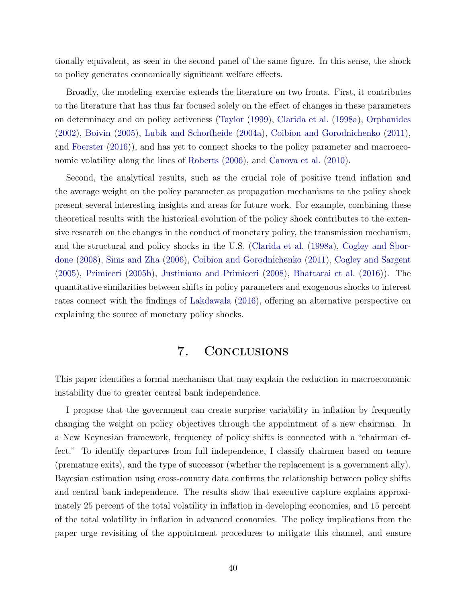tionally equivalent, as seen in the second panel of the same figure. In this sense, the shock to policy generates economically significant welfare effects.

Broadly, the modeling exercise extends the literature on two fronts. First, it contributes to the literature that has thus far focused solely on the effect of changes in these parameters on determinacy and on policy activeness (Taylor (1999), Clarida et al. (1998a), Orphanides (2002), Boivin (2005), Lubik and Schorfheide (2004a), Coibion and Gorodnichenko (2011), and Foerster (2016)), and has yet to connect shocks to the policy parameter and macroeconomic volatility along the lines of Roberts (2006), and Canova et al. (2010).

Second, the analytical results, such as the crucial role of positive trend inflation and the average weight on the policy parameter as propagation mechanisms to the policy shock present several interesting insights and areas for future work. For example, combining these theoretical results with the historical evolution of the policy shock contributes to the extensive research on the changes in the conduct of monetary policy, the transmission mechanism, and the structural and policy shocks in the U.S. (Clarida et al. (1998a), Cogley and Sbordone (2008), Sims and Zha (2006), Coibion and Gorodnichenko (2011), Cogley and Sargent (2005), Primiceri (2005b), Justiniano and Primiceri (2008), Bhattarai et al. (2016)). The quantitative similarities between shifts in policy parameters and exogenous shocks to interest rates connect with the findings of Lakdawala (2016), offering an alternative perspective on explaining the source of monetary policy shocks.

## 7. Conclusions

This paper identifies a formal mechanism that may explain the reduction in macroeconomic instability due to greater central bank independence.

I propose that the government can create surprise variability in inflation by frequently changing the weight on policy objectives through the appointment of a new chairman. In a New Keynesian framework, frequency of policy shifts is connected with a "chairman effect." To identify departures from full independence, I classify chairmen based on tenure (premature exits), and the type of successor (whether the replacement is a government ally). Bayesian estimation using cross-country data confirms the relationship between policy shifts and central bank independence. The results show that executive capture explains approximately 25 percent of the total volatility in inflation in developing economies, and 15 percent of the total volatility in inflation in advanced economies. The policy implications from the paper urge revisiting of the appointment procedures to mitigate this channel, and ensure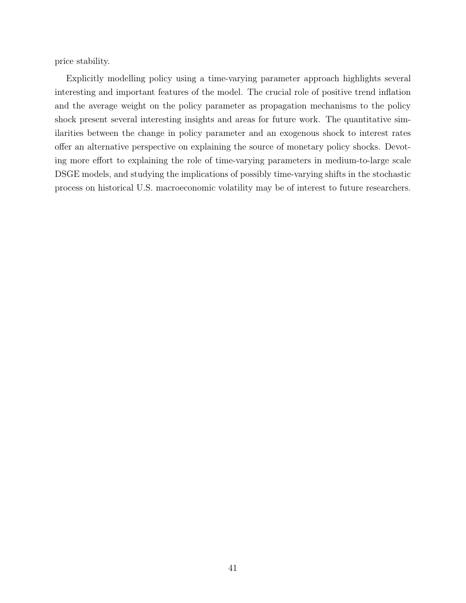price stability.

Explicitly modelling policy using a time-varying parameter approach highlights several interesting and important features of the model. The crucial role of positive trend inflation and the average weight on the policy parameter as propagation mechanisms to the policy shock present several interesting insights and areas for future work. The quantitative similarities between the change in policy parameter and an exogenous shock to interest rates offer an alternative perspective on explaining the source of monetary policy shocks. Devoting more effort to explaining the role of time-varying parameters in medium-to-large scale DSGE models, and studying the implications of possibly time-varying shifts in the stochastic process on historical U.S. macroeconomic volatility may be of interest to future researchers.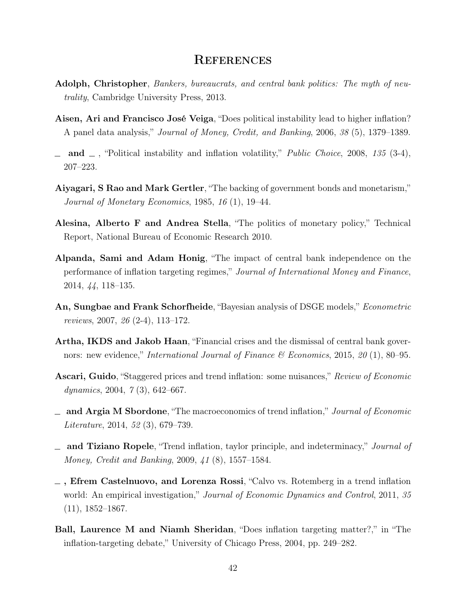### **REFERENCES**

- Adolph, Christopher, Bankers, bureaucrats, and central bank politics: The myth of neutrality, Cambridge University Press, 2013.
- Aisen, Ari and Francisco José Veiga, "Does political instability lead to higher inflation? A panel data analysis," Journal of Money, Credit, and Banking, 2006, 38 (5), 1379–1389.
- $\Box$  and  $\Box$ , "Political instability and inflation volatility," *Public Choice*, 2008, 135 (3-4), 207–223.
- Aiyagari, S Rao and Mark Gertler, "The backing of government bonds and monetarism," Journal of Monetary Economics, 1985, 16 (1), 19–44.
- Alesina, Alberto F and Andrea Stella, "The politics of monetary policy," Technical Report, National Bureau of Economic Research 2010.
- Alpanda, Sami and Adam Honig, "The impact of central bank independence on the performance of inflation targeting regimes," Journal of International Money and Finance, 2014, 44, 118–135.
- An, Sungbae and Frank Schorfheide, "Bayesian analysis of DSGE models," Econometric reviews, 2007, 26 (2-4), 113–172.
- Artha, IKDS and Jakob Haan, "Financial crises and the dismissal of central bank governors: new evidence," International Journal of Finance & Economics, 2015, 20 (1), 80–95.
- Ascari, Guido, "Staggered prices and trend inflation: some nuisances," Review of Economic dynamics, 2004, 7 (3), 642–667.
- $\Box$  and Argia M Sbordone, "The macroeconomics of trend inflation," Journal of Economic Literature, 2014, 52 (3), 679–739.
- and Tiziano Ropele, "Trend inflation, taylor principle, and indeterminacy," Journal of Money, Credit and Banking, 2009, 41 (8), 1557–1584.
- $\overline{\phantom{a}}$ , Efrem Castelnuovo, and Lorenza Rossi, "Calvo vs. Rotemberg in a trend inflation world: An empirical investigation," Journal of Economic Dynamics and Control, 2011, 35 (11), 1852–1867.
- Ball, Laurence M and Niamh Sheridan, "Does inflation targeting matter?," in "The inflation-targeting debate," University of Chicago Press, 2004, pp. 249–282.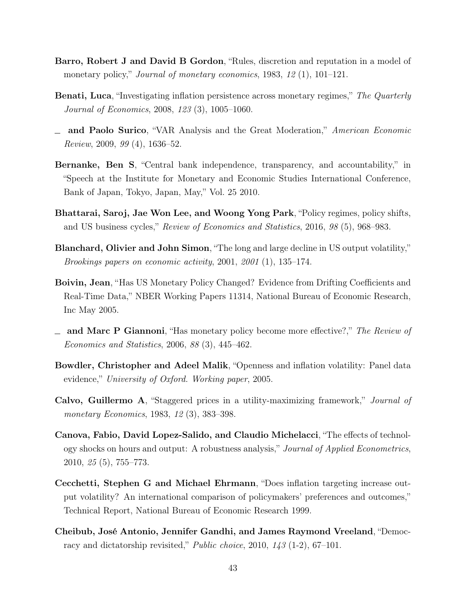- Barro, Robert J and David B Gordon, "Rules, discretion and reputation in a model of monetary policy," Journal of monetary economics, 1983, 12(1), 101–121.
- Benati, Luca, "Investigating inflation persistence across monetary regimes," The Quarterly Journal of Economics, 2008, 123 (3), 1005–1060.
- and Paolo Surico, "VAR Analysis and the Great Moderation," American Economic Review, 2009, 99 (4), 1636–52.
- Bernanke, Ben S, "Central bank independence, transparency, and accountability," in "Speech at the Institute for Monetary and Economic Studies International Conference, Bank of Japan, Tokyo, Japan, May," Vol. 25 2010.
- Bhattarai, Saroj, Jae Won Lee, and Woong Yong Park, "Policy regimes, policy shifts, and US business cycles," Review of Economics and Statistics, 2016, 98 (5), 968–983.
- Blanchard, Olivier and John Simon, "The long and large decline in US output volatility," Brookings papers on economic activity, 2001, 2001 (1), 135–174.
- Boivin, Jean, "Has US Monetary Policy Changed? Evidence from Drifting Coefficients and Real-Time Data," NBER Working Papers 11314, National Bureau of Economic Research, Inc May 2005.
- $\equiv$  and Marc P Giannoni, "Has monetary policy become more effective?," The Review of Economics and Statistics, 2006, 88 (3), 445–462.
- Bowdler, Christopher and Adeel Malik, "Openness and inflation volatility: Panel data evidence," University of Oxford. Working paper, 2005.
- Calvo, Guillermo A, "Staggered prices in a utility-maximizing framework," Journal of monetary Economics, 1983, 12(3), 383-398.
- Canova, Fabio, David Lopez-Salido, and Claudio Michelacci, "The effects of technology shocks on hours and output: A robustness analysis," Journal of Applied Econometrics, 2010, 25 (5), 755–773.
- Cecchetti, Stephen G and Michael Ehrmann, "Does inflation targeting increase output volatility? An international comparison of policymakers' preferences and outcomes," Technical Report, National Bureau of Economic Research 1999.
- Cheibub, José Antonio, Jennifer Gandhi, and James Raymond Vreeland, "Democracy and dictatorship revisited," Public choice, 2010, 143 (1-2), 67–101.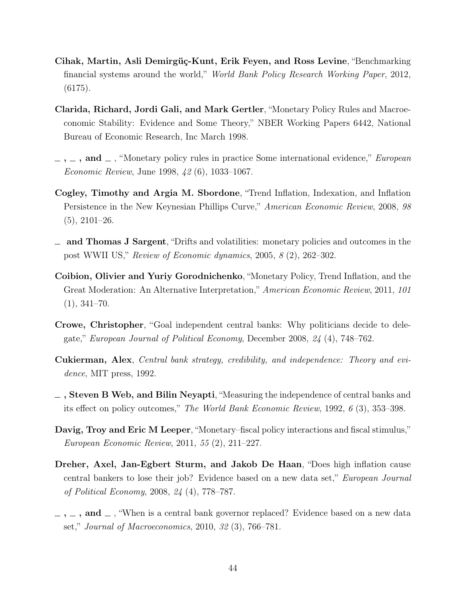- Cihak, Martin, Asli Demirgüç-Kunt, Erik Feyen, and Ross Levine, "Benchmarking financial systems around the world," World Bank Policy Research Working Paper, 2012, (6175).
- Clarida, Richard, Jordi Gali, and Mark Gertler, "Monetary Policy Rules and Macroeconomic Stability: Evidence and Some Theory," NBER Working Papers 6442, National Bureau of Economic Research, Inc March 1998.
- $, \ldots, \ldots$ , and  $\ldots$ , "Monetary policy rules in practice Some international evidence," *European* Economic Review, June 1998, 42 (6), 1033–1067.
- Cogley, Timothy and Argia M. Sbordone, "Trend Inflation, Indexation, and Inflation Persistence in the New Keynesian Phillips Curve," American Economic Review, 2008, 98  $(5), 2101-26.$
- $\equiv$  and Thomas J Sargent, "Drifts and volatilities: monetary policies and outcomes in the post WWII US," Review of Economic dynamics, 2005, 8 (2), 262–302.
- Coibion, Olivier and Yuriy Gorodnichenko, "Monetary Policy, Trend Inflation, and the Great Moderation: An Alternative Interpretation," American Economic Review, 2011, 101  $(1), 341-70.$
- Crowe, Christopher, "Goal independent central banks: Why politicians decide to delegate," European Journal of Political Economy, December 2008, 24 (4), 748–762.
- Cukierman, Alex, Central bank strategy, credibility, and independence: Theory and evidence, MIT press, 1992.
- $\overline{\phantom{a}}$ , Steven B Web, and Bilin Neyapti, "Measuring the independence of central banks and its effect on policy outcomes," The World Bank Economic Review, 1992, 6 (3), 353–398.
- Davig, Troy and Eric M Leeper, "Monetary–fiscal policy interactions and fiscal stimulus," European Economic Review, 2011, 55 (2), 211–227.
- Dreher, Axel, Jan-Egbert Sturm, and Jakob De Haan, "Does high inflation cause central bankers to lose their job? Evidence based on a new data set," European Journal of Political Economy, 2008, 24 (4), 778–787.
- $\ldots$ ,  $\ldots$ , and  $\ldots$ , "When is a central bank governor replaced? Evidence based on a new data set," Journal of Macroeconomics, 2010, 32 (3), 766–781.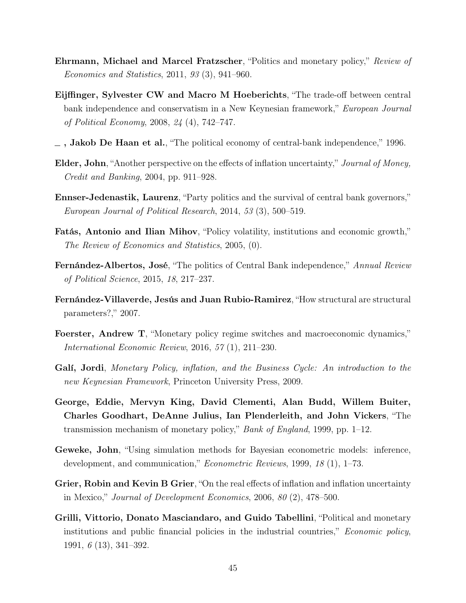- Ehrmann, Michael and Marcel Fratzscher, "Politics and monetary policy," Review of Economics and Statistics, 2011, 93 (3), 941–960.
- Eijffinger, Sylvester CW and Macro M Hoeberichts, "The trade-off between central bank independence and conservatism in a New Keynesian framework," *European Journal* of Political Economy, 2008, 24 (4), 742–747.
- $\overline{\phantom{a}}$ , Jakob De Haan et al., "The political economy of central-bank independence," 1996.
- Elder, John, "Another perspective on the effects of inflation uncertainty," Journal of Money, Credit and Banking, 2004, pp. 911–928.
- Ennser-Jedenastik, Laurenz, "Party politics and the survival of central bank governors," European Journal of Political Research, 2014, 53 (3), 500–519.
- Fatás, Antonio and Ilian Mihov, "Policy volatility, institutions and economic growth," The Review of Economics and Statistics, 2005, (0).
- Fernández-Albertos, José, "The politics of Central Bank independence," Annual Review of Political Science, 2015, 18, 217–237.
- Fernández-Villaverde, Jesús and Juan Rubio-Ramirez, "How structural are structural parameters?," 2007.
- Foerster, Andrew T, "Monetary policy regime switches and macroeconomic dynamics," International Economic Review, 2016, 57 (1), 211–230.
- Galí, Jordi, Monetary Policy, inflation, and the Business Cycle: An introduction to the new Keynesian Framework, Princeton University Press, 2009.
- George, Eddie, Mervyn King, David Clementi, Alan Budd, Willem Buiter, Charles Goodhart, DeAnne Julius, Ian Plenderleith, and John Vickers, "The transmission mechanism of monetary policy," Bank of England, 1999, pp.  $1-12$ .
- Geweke, John, "Using simulation methods for Bayesian econometric models: inference, development, and communication," Econometric Reviews, 1999, 18 (1), 1–73.
- Grier, Robin and Kevin B Grier, "On the real effects of inflation and inflation uncertainty in Mexico," Journal of Development Economics, 2006, 80 (2), 478–500.
- Grilli, Vittorio, Donato Masciandaro, and Guido Tabellini, "Political and monetary institutions and public financial policies in the industrial countries," *Economic policy*, 1991, 6 (13), 341–392.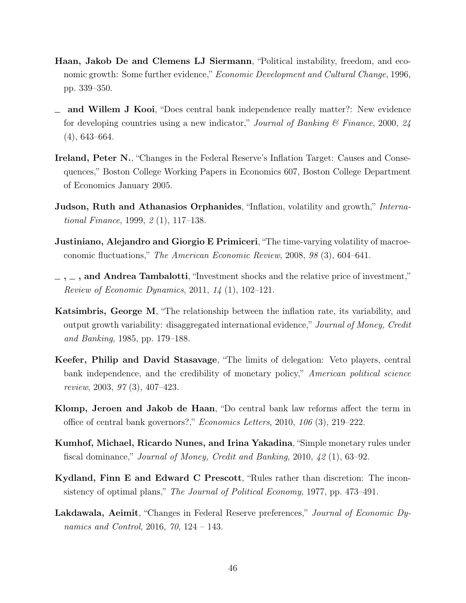- Haan, Jakob De and Clemens LJ Siermann, "Political instability, freedom, and economic growth: Some further evidence," *Economic Development and Cultural Change*, 1996, pp. 339–350.
- and Willem J Kooi, "Does central bank independence really matter?: New evidence for developing countries using a new indicator," Journal of Banking  $\mathscr B$  Finance, 2000, 24 (4), 643–664.
- Ireland, Peter N., "Changes in the Federal Reserve's Inflation Target: Causes and Consequences," Boston College Working Papers in Economics 607, Boston College Department of Economics January 2005.
- Judson, Ruth and Athanasios Orphanides, "Inflation, volatility and growth," International Finance, 1999, 2 (1), 117–138.
- **Justiniano, Alejandro and Giorgio E Primiceri**, "The time-varying volatility of macroeconomic fluctuations," The American Economic Review, 2008, 98 (3), 604–641.
- $\sim$ ,  $\sim$ , and Andrea Tambalotti, "Investment shocks and the relative price of investment," Review of Economic Dynamics, 2011, 14 (1), 102–121.
- Katsimbris, George M, "The relationship between the inflation rate, its variability, and output growth variability: disaggregated international evidence," Journal of Money, Credit and Banking, 1985, pp. 179–188.
- Keefer, Philip and David Stasavage, "The limits of delegation: Veto players, central bank independence, and the credibility of monetary policy," American political science review, 2003, 97 (3), 407–423.
- Klomp, Jeroen and Jakob de Haan, "Do central bank law reforms affect the term in office of central bank governors?," Economics Letters, 2010, 106 (3), 219–222.
- Kumhof, Michael, Ricardo Nunes, and Irina Yakadina, "Simple monetary rules under fiscal dominance," Journal of Money, Credit and Banking, 2010, 42 (1), 63–92.
- Kydland, Finn E and Edward C Prescott, "Rules rather than discretion: The inconsistency of optimal plans," The Journal of Political Economy, 1977, pp. 473–491.
- Lakdawala, Aeimit, "Changes in Federal Reserve preferences," Journal of Economic Dynamics and Control, 2016, 70, 124 – 143.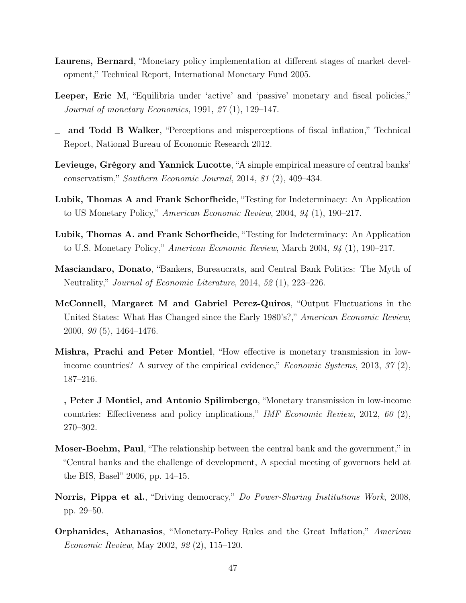- Laurens, Bernard, "Monetary policy implementation at different stages of market development," Technical Report, International Monetary Fund 2005.
- Leeper, Eric M, "Equilibria under 'active' and 'passive' monetary and fiscal policies," Journal of monetary Economics, 1991, 27 (1), 129–147.
- and Todd B Walker, "Perceptions and misperceptions of fiscal inflation," Technical Report, National Bureau of Economic Research 2012.
- Levieuge, Grégory and Yannick Lucotte, "A simple empirical measure of central banks' conservatism," Southern Economic Journal, 2014, 81 (2), 409–434.
- Lubik, Thomas A and Frank Schorfheide, "Testing for Indeterminacy: An Application to US Monetary Policy," American Economic Review, 2004, 94 (1), 190–217.
- Lubik, Thomas A. and Frank Schorfheide, "Testing for Indeterminacy: An Application to U.S. Monetary Policy," American Economic Review, March 2004, 94 (1), 190–217.
- Masciandaro, Donato, "Bankers, Bureaucrats, and Central Bank Politics: The Myth of Neutrality," Journal of Economic Literature, 2014, 52 (1), 223–226.
- McConnell, Margaret M and Gabriel Perez-Quiros, "Output Fluctuations in the United States: What Has Changed since the Early 1980's?," American Economic Review, 2000, 90 (5), 1464–1476.
- Mishra, Prachi and Peter Montiel, "How effective is monetary transmission in lowincome countries? A survey of the empirical evidence," *Economic Systems*, 2013, 37(2), 187–216.
- $-$ , Peter J Montiel, and Antonio Spilimbergo, "Monetary transmission in low-income countries: Effectiveness and policy implications," IMF Economic Review, 2012, 60 (2), 270–302.
- Moser-Boehm, Paul, "The relationship between the central bank and the government," in "Central banks and the challenge of development, A special meeting of governors held at the BIS, Basel" 2006, pp. 14–15.
- Norris, Pippa et al., "Driving democracy," Do Power-Sharing Institutions Work, 2008, pp. 29–50.
- Orphanides, Athanasios, "Monetary-Policy Rules and the Great Inflation," American Economic Review, May 2002, 92 (2), 115–120.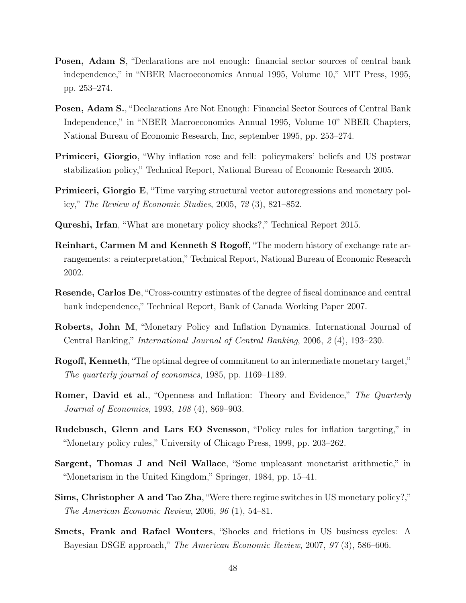- Posen, Adam S, "Declarations are not enough: financial sector sources of central bank independence," in "NBER Macroeconomics Annual 1995, Volume 10," MIT Press, 1995, pp. 253–274.
- Posen, Adam S., "Declarations Are Not Enough: Financial Sector Sources of Central Bank Independence," in "NBER Macroeconomics Annual 1995, Volume 10" NBER Chapters, National Bureau of Economic Research, Inc, september 1995, pp. 253–274.
- Primiceri, Giorgio, "Why inflation rose and fell: policymakers' beliefs and US postwar stabilization policy," Technical Report, National Bureau of Economic Research 2005.
- Primiceri, Giorgio E, "Time varying structural vector autoregressions and monetary policy," The Review of Economic Studies, 2005, 72 (3), 821–852.
- Qureshi, Irfan, "What are monetary policy shocks?," Technical Report 2015.
- Reinhart, Carmen M and Kenneth S Rogoff, "The modern history of exchange rate arrangements: a reinterpretation," Technical Report, National Bureau of Economic Research 2002.
- Resende, Carlos De, "Cross-country estimates of the degree of fiscal dominance and central bank independence," Technical Report, Bank of Canada Working Paper 2007.
- Roberts, John M, "Monetary Policy and Inflation Dynamics. International Journal of Central Banking," International Journal of Central Banking, 2006, 2 (4), 193–230.
- Rogoff, Kenneth, "The optimal degree of commitment to an intermediate monetary target," The quarterly journal of economics, 1985, pp. 1169–1189.
- Romer, David et al., "Openness and Inflation: Theory and Evidence," The Quarterly Journal of Economics, 1993, 108 (4), 869–903.
- Rudebusch, Glenn and Lars EO Svensson, "Policy rules for inflation targeting," in "Monetary policy rules," University of Chicago Press, 1999, pp. 203–262.
- Sargent, Thomas J and Neil Wallace, "Some unpleasant monetarist arithmetic," in "Monetarism in the United Kingdom," Springer, 1984, pp. 15–41.
- Sims, Christopher A and Tao Zha, "Were there regime switches in US monetary policy?," The American Economic Review, 2006, 96 (1), 54–81.
- Smets, Frank and Rafael Wouters, "Shocks and frictions in US business cycles: A Bayesian DSGE approach," The American Economic Review, 2007, 97 (3), 586–606.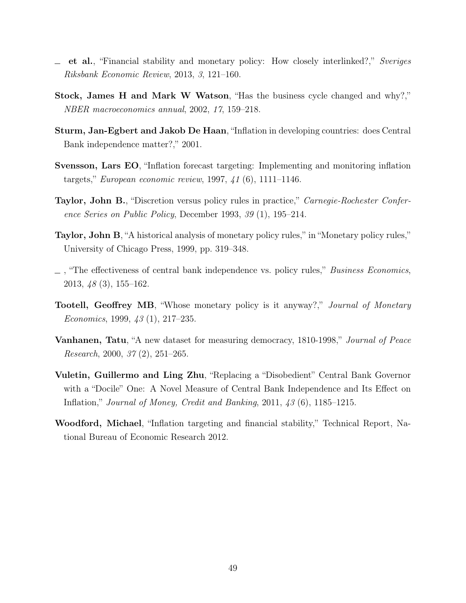- et al., "Financial stability and monetary policy: How closely interlinked?," Sveriges  $\equiv$ Riksbank Economic Review, 2013, 3, 121–160.
- Stock, James H and Mark W Watson, "Has the business cycle changed and why?," NBER macroeconomics annual, 2002, 17, 159–218.
- Sturm, Jan-Egbert and Jakob De Haan, "Inflation in developing countries: does Central Bank independence matter?," 2001.
- Svensson, Lars EO, "Inflation forecast targeting: Implementing and monitoring inflation targets," European economic review, 1997, 41 (6), 1111–1146.
- Taylor, John B., "Discretion versus policy rules in practice," Carnegie-Rochester Conference Series on Public Policy, December 1993, 39 (1), 195–214.
- Taylor, John B, "A historical analysis of monetary policy rules," in "Monetary policy rules," University of Chicago Press, 1999, pp. 319–348.
- $\Box$ , "The effectiveness of central bank independence vs. policy rules," *Business Economics*, 2013, 48 (3), 155–162.
- Tootell, Geoffrey MB, "Whose monetary policy is it anyway?," Journal of Monetary Economics, 1999, 43 (1), 217–235.
- **Vanhanen, Tatu**, "A new dataset for measuring democracy, 1810-1998," *Journal of Peace* Research, 2000, 37 (2), 251–265.
- Vuletin, Guillermo and Ling Zhu, "Replacing a "Disobedient" Central Bank Governor with a "Docile" One: A Novel Measure of Central Bank Independence and Its Effect on Inflation," Journal of Money, Credit and Banking, 2011, 43 (6), 1185–1215.
- Woodford, Michael, "Inflation targeting and financial stability," Technical Report, National Bureau of Economic Research 2012.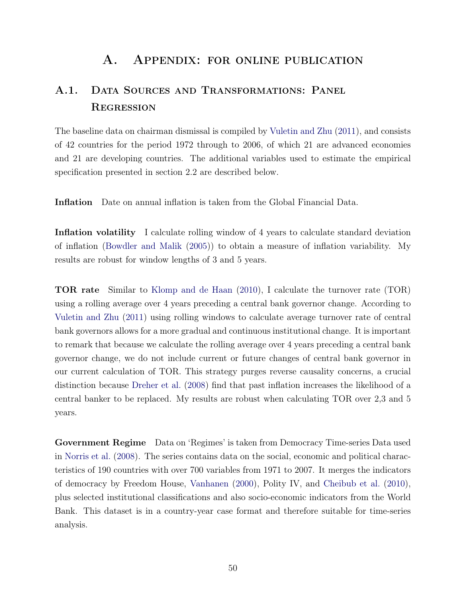## A. Appendix: for online publication

# A.1. Data Sources and Transformations: Panel **REGRESSION**

The baseline data on chairman dismissal is compiled by Vuletin and Zhu (2011), and consists of 42 countries for the period 1972 through to 2006, of which 21 are advanced economies and 21 are developing countries. The additional variables used to estimate the empirical specification presented in section 2.2 are described below.

Inflation Date on annual inflation is taken from the Global Financial Data.

Inflation volatility I calculate rolling window of 4 years to calculate standard deviation of inflation (Bowdler and Malik (2005)) to obtain a measure of inflation variability. My results are robust for window lengths of 3 and 5 years.

TOR rate Similar to Klomp and de Haan (2010), I calculate the turnover rate (TOR) using a rolling average over 4 years preceding a central bank governor change. According to Vuletin and Zhu (2011) using rolling windows to calculate average turnover rate of central bank governors allows for a more gradual and continuous institutional change. It is important to remark that because we calculate the rolling average over 4 years preceding a central bank governor change, we do not include current or future changes of central bank governor in our current calculation of TOR. This strategy purges reverse causality concerns, a crucial distinction because Dreher et al. (2008) find that past inflation increases the likelihood of a central banker to be replaced. My results are robust when calculating TOR over 2,3 and 5 years.

Government Regime Data on 'Regimes' is taken from Democracy Time-series Data used in Norris et al. (2008). The series contains data on the social, economic and political characteristics of 190 countries with over 700 variables from 1971 to 2007. It merges the indicators of democracy by Freedom House, Vanhanen (2000), Polity IV, and Cheibub et al. (2010), plus selected institutional classifications and also socio-economic indicators from the World Bank. This dataset is in a country-year case format and therefore suitable for time-series analysis.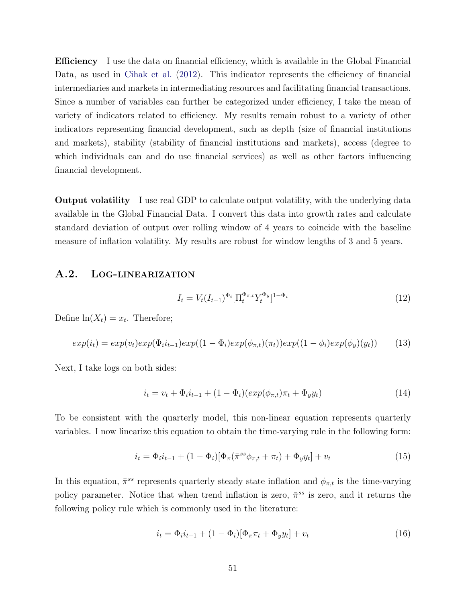Efficiency I use the data on financial efficiency, which is available in the Global Financial Data, as used in Cihak et al. (2012). This indicator represents the efficiency of financial intermediaries and markets in intermediating resources and facilitating financial transactions. Since a number of variables can further be categorized under efficiency, I take the mean of variety of indicators related to efficiency. My results remain robust to a variety of other indicators representing financial development, such as depth (size of financial institutions and markets), stability (stability of financial institutions and markets), access (degree to which individuals can and do use financial services) as well as other factors influencing financial development.

Output volatility I use real GDP to calculate output volatility, with the underlying data available in the Global Financial Data. I convert this data into growth rates and calculate standard deviation of output over rolling window of 4 years to coincide with the baseline measure of inflation volatility. My results are robust for window lengths of 3 and 5 years.

#### A.2. Log-linearization

$$
I_t = V_t (I_{t-1})^{\Phi_i} [\Pi_t^{\Phi_{\pi,t}} Y_t^{\Phi_y}]^{1-\Phi_i}
$$
\n(12)

Define  $ln(X_t) = x_t$ . Therefore;

$$
exp(i_t) = exp(v_t)exp(\Phi_i i_{t-1})exp((1-\Phi_i)exp(\phi_{\pi,t})(\pi_t))exp((1-\phi_i)exp(\phi_y)(y_t))
$$
 (13)

Next, I take logs on both sides:

$$
i_t = v_t + \Phi_i i_{t-1} + (1 - \Phi_i)(exp(\phi_{\pi,t})\pi_t + \Phi_y y_t)
$$
\n(14)

To be consistent with the quarterly model, this non-linear equation represents quarterly variables. I now linearize this equation to obtain the time-varying rule in the following form:

$$
i_t = \Phi_i i_{t-1} + (1 - \Phi_i) [\Phi_\pi(\bar{\pi}^{ss} \phi_{\pi,t} + \pi_t) + \Phi_y y_t] + v_t
$$
\n(15)

In this equation,  $\bar{\pi}^{ss}$  represents quarterly steady state inflation and  $\phi_{\pi,t}$  is the time-varying policy parameter. Notice that when trend inflation is zero,  $\bar{\pi}^{ss}$  is zero, and it returns the following policy rule which is commonly used in the literature:

$$
i_t = \Phi_i i_{t-1} + (1 - \Phi_i)[\Phi_\pi \pi_t + \Phi_y y_t] + v_t \tag{16}
$$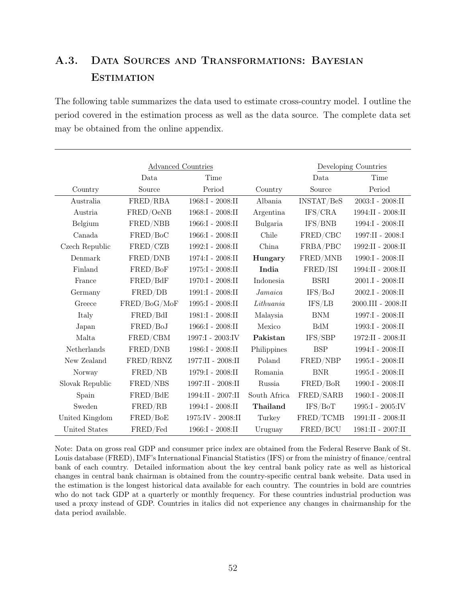# A.3. Data Sources and Transformations: Bayesian **ESTIMATION**

The following table summarizes the data used to estimate cross-country model. I outline the period covered in the estimation process as well as the data source. The complete data set may be obtained from the online appendix.

|                 | <b>Advanced Countries</b> |                        |                                |              | Developing Countries   |
|-----------------|---------------------------|------------------------|--------------------------------|--------------|------------------------|
|                 | Data                      | Time                   |                                | Data         | Time                   |
| Country         | Source                    | Period                 | Country                        | Source       | Period                 |
| Australia       | FRED/RBA                  | 1968:I - 2008:II       | Albania                        | INSTAT/BeS   | $2003:I - 2008:II$     |
| Austria         | FRED/OeNB                 | 1968:I - 2008:II       | Argentina                      | IFS/CRA      | 1994:II - 2008:II      |
| Belgium         | FRED/NBB                  | 1966:I - 2008:II       | Bulgaria                       | IFS/BNB      | 1994:I - 2008:II       |
| Canada          | FRED/BoC                  | 1966:I - 2008:II       | Chile                          | FRED/CBC     | 1997:II - 2008:I       |
| Czech Republic  | FRED/CZB                  | 1992:I - 2008:II       | China                          | FRBA/PBC     | 1992:II - 2008:II      |
| Denmark         | FRED/DNB                  | 1974:I - 2008:II       | Hungary                        | FRED/MNB     | 1990:I - 2008:II       |
| Finland         | FRED/BoF                  | 1975:I - 2008:II       | India                          | FRED/ISI     | 1994:II - 2008:II      |
| France          | FRED/BdF                  | 1970:I - 2008:II       | Indonesia                      | <b>BSRI</b>  | $2001.I - 2008:II$     |
| Germany         | FRED/DB                   | 1991:I - 2008:II       | Jamaica                        | IFS/BoJ      | $2002.I - 2008:II$     |
| Greece          | FRED/BoG/MoF              | 1995:I - 2008:II       | $\label{eq:lithuan} Lithuania$ | IFS/LB       | 2000.III - 2008:II     |
| Italy           | FRED/BdI                  | 1981:I - 2008:II       | Malaysia                       | <b>BNM</b>   | 1997:I - 2008:II       |
| Japan           | FRED/BoJ                  | $1966:$ I - $2008:$ II | Mexico                         | $_{\rm BdM}$ | 1993:I - 2008:II       |
| Malta           | FRED/CBM                  | 1997:I - 2003:IV       | Pakistan                       | IFS/SBP      | 1972:II - 2008:II      |
| Netherlands     | FRED/DNB                  | 1986:I - 2008:II       | Philippines                    | <b>BSP</b>   | 1994:I - 2008:II       |
| New Zealand     | FRED/RBNZ                 | 1977:II - 2008:II      | Poland                         | FRED/NBP     | 1995:I - 2008:II       |
| Norway          | FRED/NB                   | 1979:I - 2008:II       | Romania                        | <b>BNR</b>   | 1995:I - 2008:II       |
| Slovak Republic | ${\rm FRED/NBS}$          | 1997:II - 2008:II      | Russia                         | FRED/BoR     | 1990:I - 2008:II       |
| Spain           | FRED/BdE                  | 1994:II - 2007:II      | South Africa                   | FRED/SARB    | $1960:$ I - $2008:$ II |
| Sweden          | FRED/RB                   | 1994:I - 2008:II       | Thailand                       | IFS/BoT      | $1995:I - 2005:IV$     |
| United Kingdom  | FRED/BoE                  | 1975:IV - 2008:II      | Turkey                         | FRED/TCMB    | 1991:II - 2008:II      |
| United States   | FRED/Fed                  | 1966:I - 2008:II       | Uruguay                        | FRED/BCU     | 1981:II - 2007:II      |

Note: Data on gross real GDP and consumer price index are obtained from the Federal Reserve Bank of St. Louis database (FRED), IMF's International Financial Statistics (IFS) or from the ministry of finance/central bank of each country. Detailed information about the key central bank policy rate as well as historical changes in central bank chairman is obtained from the country-specific central bank website. Data used in the estimation is the longest historical data available for each country. The countries in bold are countries who do not tack GDP at a quarterly or monthly frequency. For these countries industrial production was used a proxy instead of GDP. Countries in italics did not experience any changes in chairmanship for the data period available.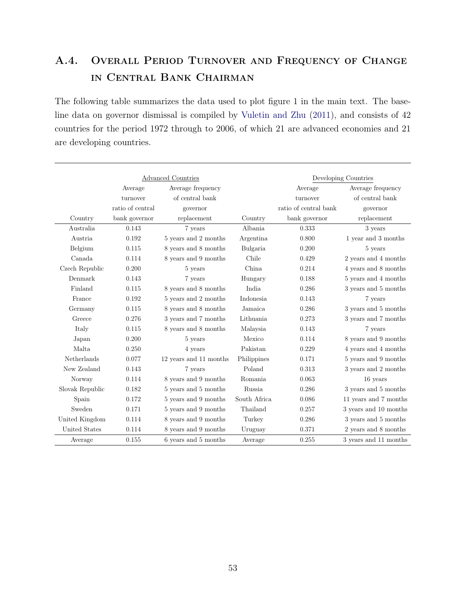# A.4. Overall Period Turnover and Frequency of Change in Central Bank Chairman

The following table summarizes the data used to plot figure 1 in the main text. The baseline data on governor dismissal is compiled by Vuletin and Zhu (2011), and consists of 42 countries for the period 1972 through to 2006, of which 21 are advanced economies and 21 are developing countries.

|                 |                  | Advanced Countries     | Developing Countries |                       |                       |  |  |  |
|-----------------|------------------|------------------------|----------------------|-----------------------|-----------------------|--|--|--|
|                 | Average          | Average frequency      |                      | Average               | Average frequency     |  |  |  |
|                 | turnover         | of central bank        |                      | turnover              | of central bank       |  |  |  |
|                 | ratio of central | governor               |                      | ratio of central bank | governor              |  |  |  |
| Country         | bank governor    | replacement            | Country              | bank governor         | replacement           |  |  |  |
| Australia       | 0.143            | 7 years                | Albania              | 0.333                 | 3 years               |  |  |  |
| Austria         | 0.192            | 5 years and 2 months   | Argentina            | 0.800                 | 1 year and 3 months   |  |  |  |
| Belgium         | 0.115            | 8 years and 8 months   | Bulgaria             | 0.200                 | 5 years               |  |  |  |
| Canada          | 0.114            | 8 years and 9 months   | Chile                | 0.429                 | 2 years and 4 months  |  |  |  |
| Czech Republic  | 0.200            | 5 years                | China                | 0.214                 | 4 years and 8 months  |  |  |  |
| Denmark         | 0.143            | 7 years                | Hungary              | 0.188                 | 5 years and 4 months  |  |  |  |
| Finland         | 0.115            | 8 years and 8 months   | India                | 0.286                 | 3 years and 5 months  |  |  |  |
| France          | 0.192            | 5 years and 2 months   | Indonesia            | 0.143                 | 7 years               |  |  |  |
| Germany         | 0.115            | 8 years and 8 months   | Jamaica              | 0.286                 | 3 years and 5 months  |  |  |  |
| Greece          | 0.276            | 3 years and 7 months   | Lithuania            | 0.273                 | 3 years and 7 months  |  |  |  |
| Italy           | 0.115            | 8 years and 8 months   | Malaysia             | 0.143                 | 7 years               |  |  |  |
| Japan           | 0.200            | 5 years                | Mexico               | 0.114                 | 8 years and 9 months  |  |  |  |
| Malta           | 0.250            | 4 years                | Pakistan             | 0.229                 | 4 years and 4 months  |  |  |  |
| Netherlands     | 0.077            | 12 years and 11 months | Philippines          | 0.171                 | 5 years and 9 months  |  |  |  |
| New Zealand     | 0.143            | 7 years                | Poland               | 0.313                 | 3 years and 2 months  |  |  |  |
| Norway          | 0.114            | 8 years and 9 months   | Romania              | 0.063                 | 16 years              |  |  |  |
| Slovak Republic | 0.182            | 5 years and 5 months   | Russia               | 0.286                 | 3 years and 5 months  |  |  |  |
| Spain           | 0.172            | 5 years and 9 months   | South Africa         | 0.086                 | 11 years and 7 months |  |  |  |
| Sweden          | 0.171            | 5 years and 9 months   | Thailand             | 0.257                 | 3 years and 10 months |  |  |  |
| United Kingdom  | 0.114            | 8 years and 9 months   | Turkey               | 0.286                 | 3 years and 5 months  |  |  |  |
| United States   | 0.114            | 8 years and 9 months   | Uruguay              | 0.371                 | 2 years and 8 months  |  |  |  |
| Average         | 0.155            | 6 years and 5 months   | Average              | 0.255                 | 3 years and 11 months |  |  |  |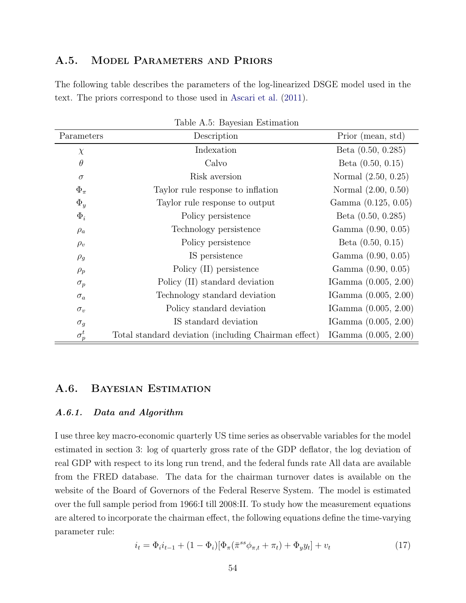### A.5. MODEL PARAMETERS AND PRIORS

The following table describes the parameters of the log-linearized DSGE model used in the text. The priors correspond to those used in Ascari et al. (2011).

|              | rabic <i>11.0.</i> Daycolari Louillauoli             |                        |
|--------------|------------------------------------------------------|------------------------|
| Parameters   | Description                                          | Prior (mean, std)      |
| $\chi$       | Indexation                                           | Beta $(0.50, 0.285)$   |
| $\theta$     | Calvo                                                | Beta $(0.50, 0.15)$    |
| $\sigma$     | Risk aversion                                        | Normal (2.50, 0.25)    |
| $\Phi_{\pi}$ | Taylor rule response to inflation                    | Normal (2.00, 0.50)    |
| $\Phi_y$     | Taylor rule response to output                       | Gamma (0.125, 0.05)    |
| $\Phi_i$     | Policy persistence                                   | Beta $(0.50, 0.285)$   |
| $\rho_a$     | Technology persistence                               | Gamma (0.90, 0.05)     |
| $\rho_v$     | Policy persistence                                   | Beta $(0.50, 0.15)$    |
| $\rho_g$     | IS persistence                                       | Gamma (0.90, 0.05)     |
| $\rho_p$     | Policy (II) persistence                              | Gamma (0.90, 0.05)     |
| $\sigma_p$   | Policy (II) standard deviation                       | IGamma (0.005, 2.00)   |
| $\sigma_a$   | Technology standard deviation                        | IGamma $(0.005, 2.00)$ |
| $\sigma_v$   | Policy standard deviation                            | IGamma (0.005, 2.00)   |
| $\sigma_g$   | IS standard deviation                                | IGamma $(0.005, 2.00)$ |
| $\sigma_p^t$ | Total standard deviation (including Chairman effect) | IGamma $(0.005, 2.00)$ |

Table A.5: Bayesian Estimation

#### A.6. Bayesian Estimation

#### A.6.1. Data and Algorithm

I use three key macro-economic quarterly US time series as observable variables for the model estimated in section 3: log of quarterly gross rate of the GDP deflator, the log deviation of real GDP with respect to its long run trend, and the federal funds rate All data are available from the FRED database. The data for the chairman turnover dates is available on the website of the Board of Governors of the Federal Reserve System. The model is estimated over the full sample period from 1966:I till 2008:II. To study how the measurement equations are altered to incorporate the chairman effect, the following equations define the time-varying parameter rule:

$$
i_t = \Phi_i i_{t-1} + (1 - \Phi_i) [\Phi_\pi(\bar{\pi}^{ss} \phi_{\pi,t} + \pi_t) + \Phi_y y_t] + v_t
$$
\n(17)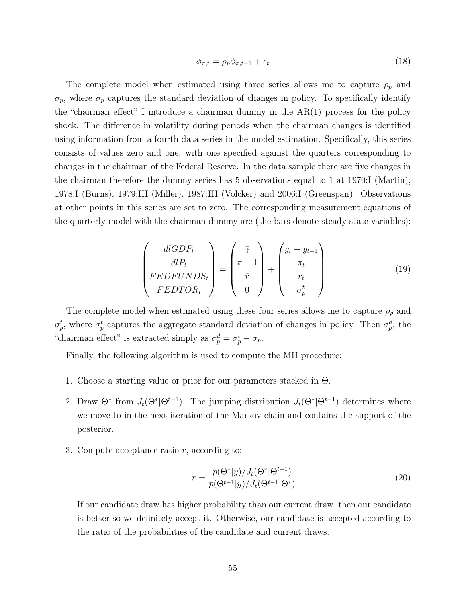$$
\phi_{\pi,t} = \rho_p \phi_{\pi,t-1} + \epsilon_t \tag{18}
$$

The complete model when estimated using three series allows me to capture  $\rho_p$  and  $\sigma_p$ , where  $\sigma_p$  captures the standard deviation of changes in policy. To specifically identify the "chairman effect" I introduce a chairman dummy in the AR(1) process for the policy shock. The difference in volatility during periods when the chairman changes is identified using information from a fourth data series in the model estimation. Specifically, this series consists of values zero and one, with one specified against the quarters corresponding to changes in the chairman of the Federal Reserve. In the data sample there are five changes in the chairman therefore the dummy series has 5 observations equal to 1 at 1970:I (Martin), 1978:I (Burns), 1979:III (Miller), 1987:III (Volcker) and 2006:I (Greenspan). Observations at other points in this series are set to zero. The corresponding measurement equations of the quarterly model with the chairman dummy are (the bars denote steady state variables):

$$
\begin{pmatrix} dlGDP_t \\ dlP_t \\ FEDFUNDS_t \\ FEDTOR_t \end{pmatrix} = \begin{pmatrix} \bar{\gamma} \\ \bar{\pi} - 1 \\ \bar{r} \\ 0 \end{pmatrix} + \begin{pmatrix} y_t - y_{t-1} \\ \pi_t \\ r_t \\ \sigma_p^t \end{pmatrix}
$$
(19)

The complete model when estimated using these four series allows me to capture  $\rho_p$  and  $\sigma_p^t$ , where  $\sigma_p^t$  captures the aggregate standard deviation of changes in policy. Then  $\sigma_p^d$ , the "chairman effect" is extracted simply as  $\sigma_p^d = \sigma_p^t - \sigma_p$ .

Finally, the following algorithm is used to compute the MH procedure:

- 1. Choose a starting value or prior for our parameters stacked in  $\Theta$ .
- 2. Draw  $\Theta^*$  from  $J_t(\Theta^*|\Theta^{t-1})$ . The jumping distribution  $J_t(\Theta^*|\Theta^{t-1})$  determines where we move to in the next iteration of the Markov chain and contains the support of the posterior.
- 3. Compute acceptance ratio  $r$ , according to:

$$
r = \frac{p(\Theta^*|y)/J_t(\Theta^*|\Theta^{t-1})}{p(\Theta^{t-1}|y)/J_t(\Theta^{t-1}|\Theta^*)}
$$
(20)

If our candidate draw has higher probability than our current draw, then our candidate is better so we definitely accept it. Otherwise, our candidate is accepted according to the ratio of the probabilities of the candidate and current draws.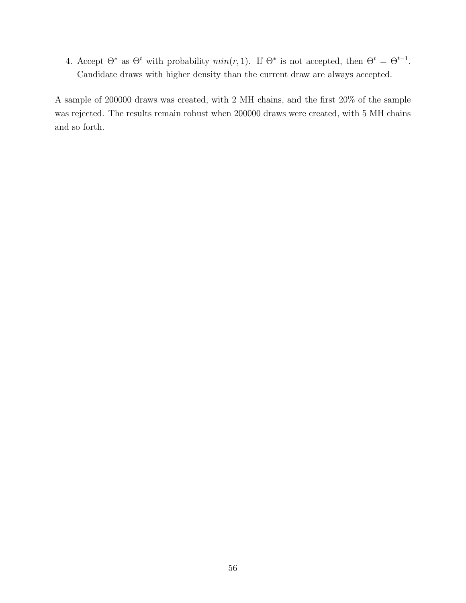4. Accept  $\Theta^*$  as  $\Theta^t$  with probability  $min(r, 1)$ . If  $\Theta^*$  is not accepted, then  $\Theta^t = \Theta^{t-1}$ . Candidate draws with higher density than the current draw are always accepted.

A sample of 200000 draws was created, with 2 MH chains, and the first 20% of the sample was rejected. The results remain robust when 200000 draws were created, with 5 MH chains and so forth.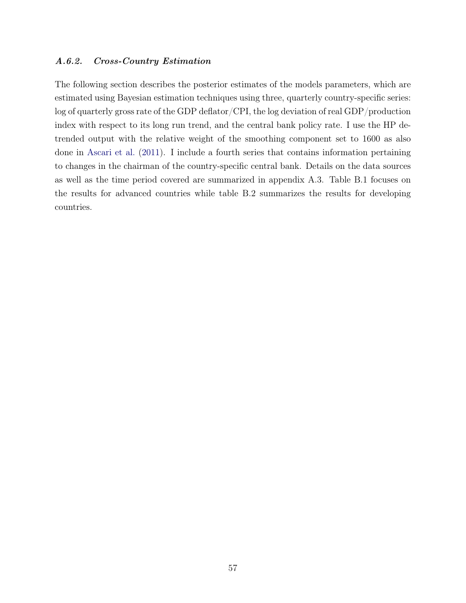#### A.6.2. Cross-Country Estimation

The following section describes the posterior estimates of the models parameters, which are estimated using Bayesian estimation techniques using three, quarterly country-specific series: log of quarterly gross rate of the GDP deflator/CPI, the log deviation of real GDP/production index with respect to its long run trend, and the central bank policy rate. I use the HP detrended output with the relative weight of the smoothing component set to 1600 as also done in Ascari et al. (2011). I include a fourth series that contains information pertaining to changes in the chairman of the country-specific central bank. Details on the data sources as well as the time period covered are summarized in appendix A.3. Table B.1 focuses on the results for advanced countries while table B.2 summarizes the results for developing countries.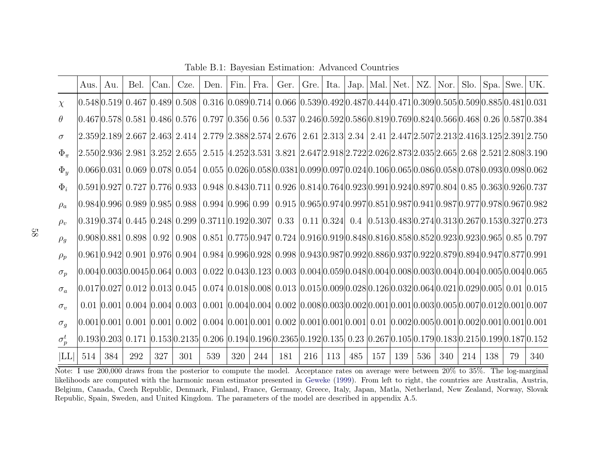|              | Aus. | Au. | Bel.                      | Can. | Cze.                             | Den. | Fin. | Fra. | Ger.                                                                                                                                                                                                                           | Grel. |     |     |     |     |     | Ita.   Jap.   Mal.   Net.   NZ.   Nor. |     | $Slo.$ Spa. Swe. UK. |    |                                                                           |
|--------------|------|-----|---------------------------|------|----------------------------------|------|------|------|--------------------------------------------------------------------------------------------------------------------------------------------------------------------------------------------------------------------------------|-------|-----|-----|-----|-----|-----|----------------------------------------|-----|----------------------|----|---------------------------------------------------------------------------|
| $\chi$       |      |     |                           |      |                                  |      |      |      | $ 0.548 0.519 $ $0.467$ $ 0.489 $ $0.508$ $ $ $0.316$ $ 0.089 0.714 $ $0.066$ $ 0.539 0.492 0.487 0.444 0.471 0.309 0.505 0.509 0.885 0.481 0.031$                                                                             |       |     |     |     |     |     |                                        |     |                      |    |                                                                           |
| $\theta$     |      |     |                           |      |                                  |      |      |      | $[0.467] 0.578]$ $0.581$ $[0.486]$ $0.576$ $[$ $0.797$ $[0.356]$ $0.56$ $[$ $0.537$ $[0.246]$ $0.592]$ $0.586$ $[0.819]$ $0.769$ $[0.824]$ $0.566$ $[0.468]$ $0.26$ $[0.587]$ $0.384$                                          |       |     |     |     |     |     |                                        |     |                      |    |                                                                           |
| $\sigma$     |      |     |                           |      |                                  |      |      |      | $[2.359]2.189]$ $2.667$ $[2.463]$ $2.414$ $[$ $2.779$ $[2.388]2.574]$ $2.676$ $[$ $2.61$ $[2.313]$ $2.34$ $[$ $2.41$ $[2.447]2.507]2.213]2.416]3.125]2.391]2.750$                                                              |       |     |     |     |     |     |                                        |     |                      |    |                                                                           |
| $\Phi_\pi$   |      |     |                           |      | 2.550 2.936  2.981  3.252  2.655 |      |      |      | 2.515 4.252 3.531 3.821 2.647 2.918 2.722 2.026 2.873 2.035 2.665 2.68 2.521 2.808 3.190                                                                                                                                       |       |     |     |     |     |     |                                        |     |                      |    |                                                                           |
| $\Phi_u$     |      |     |                           |      |                                  |      |      |      | $ 0.066 0.031 $ $0.069$ $ 0.078 $ $0.054$ $ $ $0.055$ $ 0.026 0.058 0.0381 0.099 0.097 0.024 0.106 0.065 0.086 0.058 0.078 0.093 0.098 0.062$                                                                                  |       |     |     |     |     |     |                                        |     |                      |    |                                                                           |
| $\Phi_i$     |      |     |                           |      |                                  |      |      |      | $[0.591 0.927 0.727 0.776 0.933 0.948 0.843 0.711 0.926 0.814 0.764 0.923 0.991 0.924 0.897 0.804 0.85 0.363 0.926 0.737$                                                                                                      |       |     |     |     |     |     |                                        |     |                      |    |                                                                           |
| $\rho_a$     |      |     |                           |      |                                  |      |      |      | 0.984 0.996  0.989  0.985  0.988   0.994  0.996  0.99   0.915  0.965 0.974 0.997 0.851 0.987 0.941 0.987 0.977 0.978 0.967 0.982                                                                                               |       |     |     |     |     |     |                                        |     |                      |    |                                                                           |
| $\rho_v$     |      |     |                           |      |                                  |      |      |      | $ 0.319 0.374 $ $0.445$ $ 0.248 $ $0.299$ $ 0.3711 0.192 0.307 $ $ 0.33 $ $ $                                                                                                                                                  |       |     |     |     |     |     |                                        |     |                      |    | $0.11$ $ 0.324 $ $0.4$ $ 0.513 0.483 0.274 0.313 0.267 0.153 0.327 0.273$ |
| $\rho_g$     |      |     | 0.908 0.881  0.898   0.92 |      |                                  |      |      |      | $0.908 \mid 0.851 \mid 0.775 \mid 0.947 \mid 0.724 \mid 0.916 \mid 0.919 \mid 0.848 \mid 0.816 \mid 0.858 \mid 0.852 \mid 0.923 \mid 0.923 \mid 0.965 \mid 0.85 \mid 0.797$                                                    |       |     |     |     |     |     |                                        |     |                      |    |                                                                           |
| $\rho_p$     |      |     |                           |      |                                  |      |      |      | 0.961 0.942  0.901  0.976  0.904   0.984  0.996 0.928  0.998  0.943 0.987 0.992 0.886 0.937 0.922 0.879 0.894 0.947 0.877 0.991                                                                                                |       |     |     |     |     |     |                                        |     |                      |    |                                                                           |
| $\sigma_p$   |      |     |                           |      |                                  |      |      |      | $ 0.004 0.003 0.0045 0.064 $ $0.003$ $ $ $0.022$ $ 0.043 0.123 $ $0.003$ $ 0.004 0.059 0.048 0.004 0.008 0.003 0.004 0.004 0.004 0.005 0.004 0.005 0.004 0.005 0.004 0.005 0.004 0.005 0.004 0.005 0.004 0.005 0.004 0.005 0.$ |       |     |     |     |     |     |                                        |     |                      |    |                                                                           |
| $\sigma_a$   |      |     |                           |      |                                  |      |      |      | $ 0.017 0.027 $ $0.012$ $ 0.013 $ $0.045$ $ $ $0.074$ $ 0.018 0.008 $ $0.013$ $ 0.015 0.009 0.028 0.126 0.032 0.064 0.021 0.029 0.005 $ $0.01$ $ 0.015 $                                                                       |       |     |     |     |     |     |                                        |     |                      |    |                                                                           |
| $\sigma_v$   |      |     |                           |      |                                  |      |      |      | $0.01 0.001 0.004 0.004 0.003 0.001 0.004 0.004 0.002 0.008 0.003 0.002 0.001 0.001 0.003 0.005 0.007 0.012 0.001 0.007$                                                                                                       |       |     |     |     |     |     |                                        |     |                      |    |                                                                           |
| $\sigma_q$   |      |     |                           |      | 0.001 0.001 0.001 0.001 0.002    |      |      |      | $0.004$ $ 0.001 0.001 $ $0.002$ $ 0.001 0.001 0.001 $ $0.01$ $ 0.002 0.005 0.001 0.002 0.001 0.001 0.001$                                                                                                                      |       |     |     |     |     |     |                                        |     |                      |    |                                                                           |
| $\sigma_p^t$ |      |     |                           |      |                                  |      |      |      | $ 0.193 0.203 $ $0.171$ $ 0.153 0.2135 $ $0.206$ $ 0.194 0.196 0.2365 0.192 0.135 $ $0.23$ $ 0.267 0.105 0.179 0.183 0.215 0.199 0.187 0.152$                                                                                  |       |     |     |     |     |     |                                        |     |                      |    |                                                                           |
| LL           | 514  | 384 | 292                       | 327  | 301                              | 539  | 320  | 244  | 181                                                                                                                                                                                                                            | 216   | 113 | 485 | 157 | 139 | 536 | 340                                    | 214 | 138                  | 79 | 340                                                                       |

Table B.1: Bayesian Estimation: Advanced Countries

Note: I use 200,000 draws from the posterior to compute the model. Acceptance rates on average were between 20% to 35%. The log-marginal likelihoods are computed with the harmonic mean estimator presented in Geweke (1999). From left to right, the countries are Australia, Austria, Belgium, Canada, Czech Republic, Denmark, Finland, France, Germany, Greece, Italy, Japan, Matla, Netherland, New Zealand, Norway, SlovakRepublic, Spain, Sweden, and United Kingdom. The parameters of the model are described in appendix A.5.

58